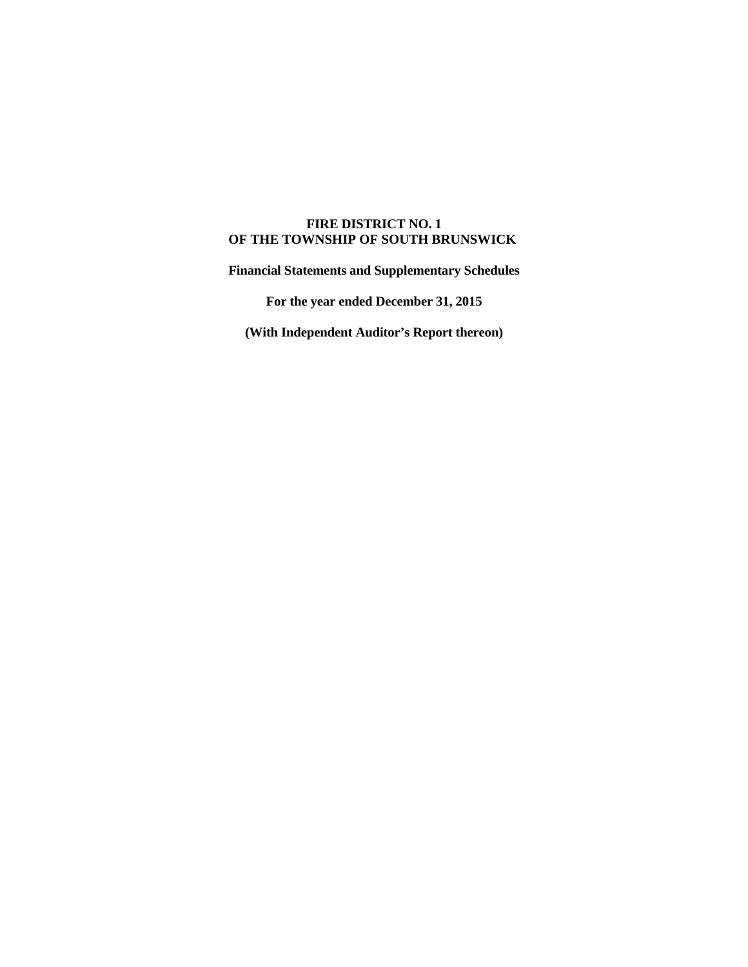# **FIRE DISTRICT NO. 1 OF THE TOWNSHIP OF SOUTH BRUNSWICK**

**Financial Statements and Supplementary Schedules** 

**For the year ended December 31, 2015** 

**(With Independent Auditor's Report thereon)**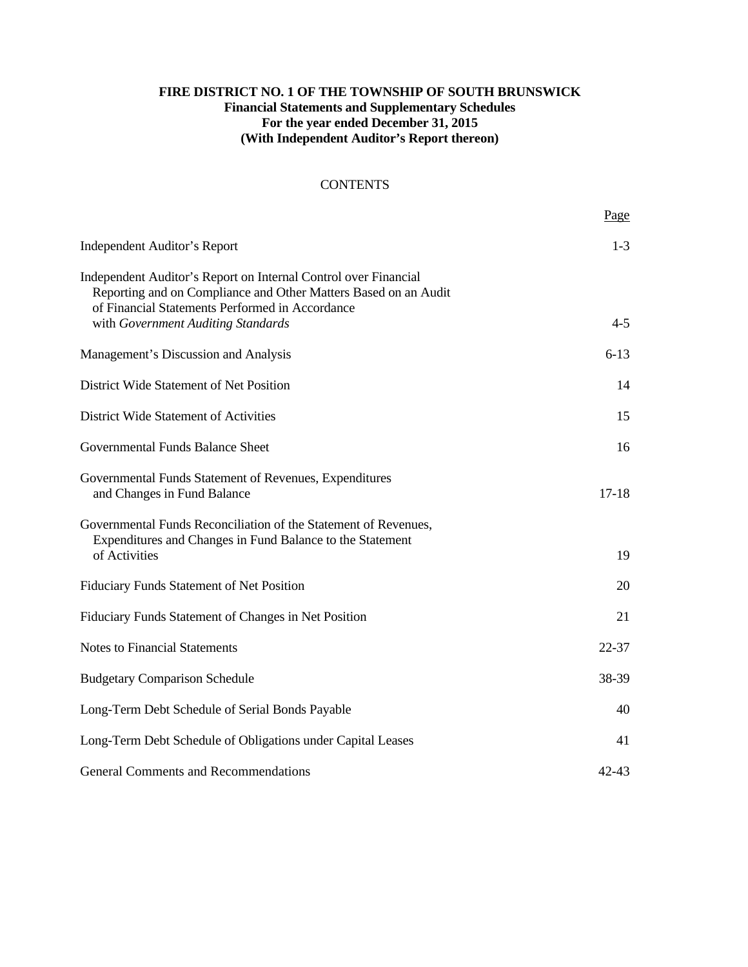# **FIRE DISTRICT NO. 1 OF THE TOWNSHIP OF SOUTH BRUNSWICK Financial Statements and Supplementary Schedules For the year ended December 31, 2015 (With Independent Auditor's Report thereon)**

# **CONTENTS**

|                                                                                                                                                                                       | Page    |
|---------------------------------------------------------------------------------------------------------------------------------------------------------------------------------------|---------|
| <b>Independent Auditor's Report</b>                                                                                                                                                   | $1 - 3$ |
| Independent Auditor's Report on Internal Control over Financial<br>Reporting and on Compliance and Other Matters Based on an Audit<br>of Financial Statements Performed in Accordance |         |
| with Government Auditing Standards                                                                                                                                                    | $4 - 5$ |
| Management's Discussion and Analysis                                                                                                                                                  | $6-13$  |
| District Wide Statement of Net Position                                                                                                                                               | 14      |
| District Wide Statement of Activities                                                                                                                                                 | 15      |
| Governmental Funds Balance Sheet                                                                                                                                                      | 16      |
| Governmental Funds Statement of Revenues, Expenditures<br>and Changes in Fund Balance                                                                                                 | $17-18$ |
| Governmental Funds Reconciliation of the Statement of Revenues,<br>Expenditures and Changes in Fund Balance to the Statement<br>of Activities                                         | 19      |
| Fiduciary Funds Statement of Net Position                                                                                                                                             | 20      |
| Fiduciary Funds Statement of Changes in Net Position                                                                                                                                  | 21      |
| <b>Notes to Financial Statements</b>                                                                                                                                                  | 22-37   |
| <b>Budgetary Comparison Schedule</b>                                                                                                                                                  | 38-39   |
| Long-Term Debt Schedule of Serial Bonds Payable                                                                                                                                       | 40      |
| Long-Term Debt Schedule of Obligations under Capital Leases                                                                                                                           | 41      |
| <b>General Comments and Recommendations</b>                                                                                                                                           | 42-43   |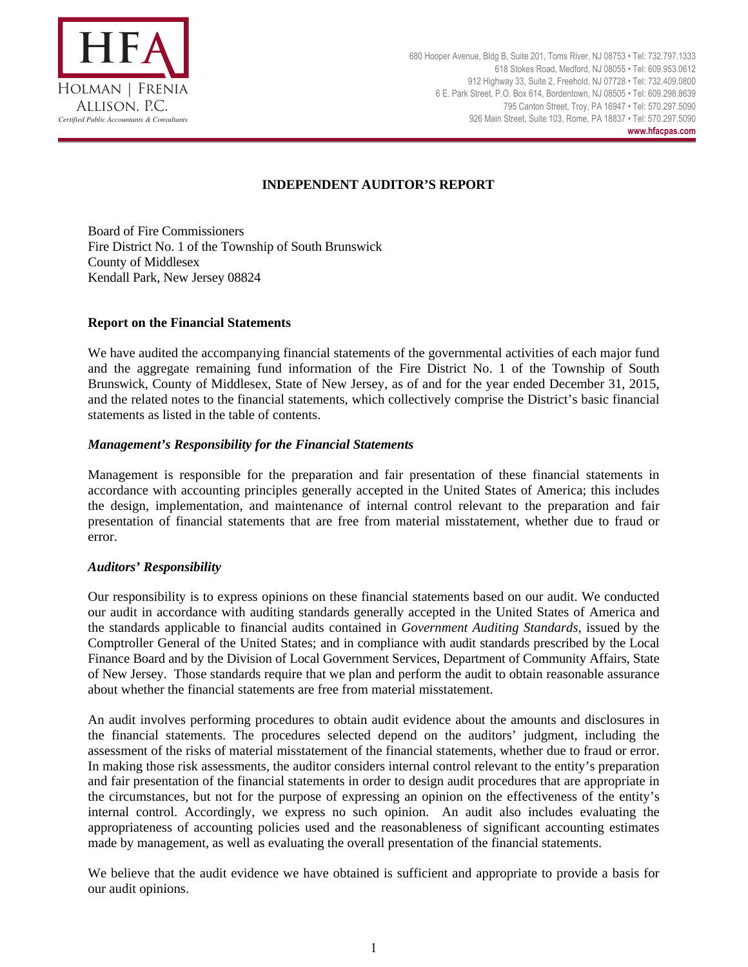

# **INDEPENDENT AUDITOR'S REPORT**

Board of Fire Commissioners Fire District No. 1 of the Township of South Brunswick County of Middlesex Kendall Park, New Jersey 08824

#### **Report on the Financial Statements**

We have audited the accompanying financial statements of the governmental activities of each major fund and the aggregate remaining fund information of the Fire District No. 1 of the Township of South Brunswick, County of Middlesex, State of New Jersey, as of and for the year ended December 31, 2015, and the related notes to the financial statements, which collectively comprise the District's basic financial statements as listed in the table of contents.

#### *Management's Responsibility for the Financial Statements*

Management is responsible for the preparation and fair presentation of these financial statements in accordance with accounting principles generally accepted in the United States of America; this includes the design, implementation, and maintenance of internal control relevant to the preparation and fair presentation of financial statements that are free from material misstatement, whether due to fraud or error.

#### *Auditors' Responsibility*

Our responsibility is to express opinions on these financial statements based on our audit. We conducted our audit in accordance with auditing standards generally accepted in the United States of America and the standards applicable to financial audits contained in *Government Auditing Standards,* issued by the Comptroller General of the United States; and in compliance with audit standards prescribed by the Local Finance Board and by the Division of Local Government Services, Department of Community Affairs, State of New Jersey. Those standards require that we plan and perform the audit to obtain reasonable assurance about whether the financial statements are free from material misstatement.

An audit involves performing procedures to obtain audit evidence about the amounts and disclosures in the financial statements. The procedures selected depend on the auditors' judgment, including the assessment of the risks of material misstatement of the financial statements, whether due to fraud or error. In making those risk assessments, the auditor considers internal control relevant to the entity's preparation and fair presentation of the financial statements in order to design audit procedures that are appropriate in the circumstances, but not for the purpose of expressing an opinion on the effectiveness of the entity's internal control. Accordingly, we express no such opinion. An audit also includes evaluating the appropriateness of accounting policies used and the reasonableness of significant accounting estimates made by management, as well as evaluating the overall presentation of the financial statements.

We believe that the audit evidence we have obtained is sufficient and appropriate to provide a basis for our audit opinions.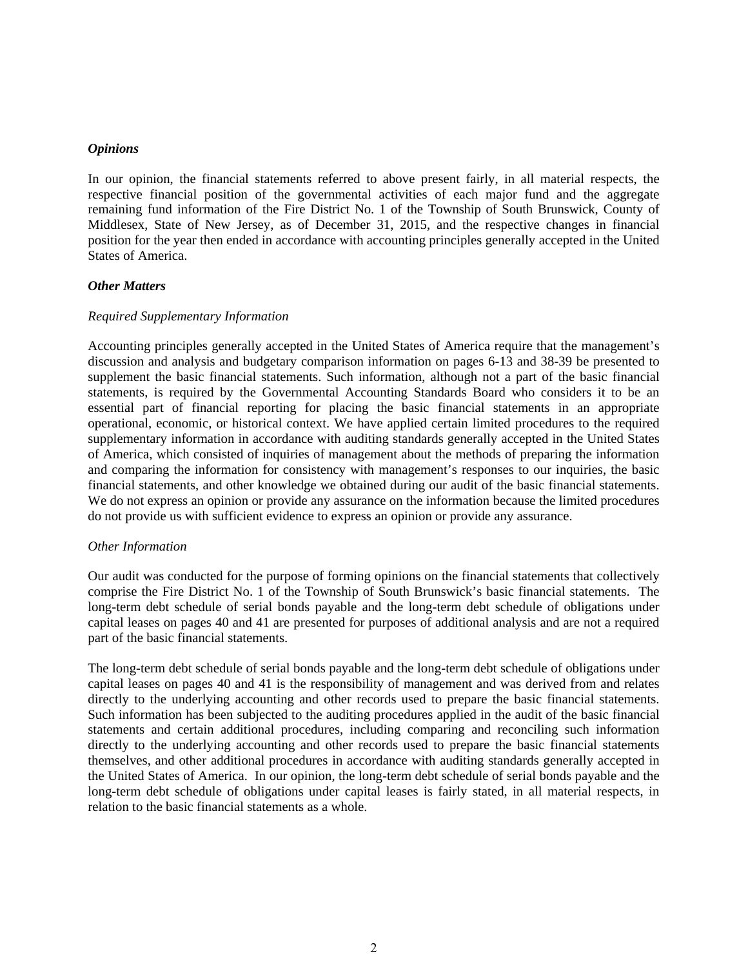#### *Opinions*

In our opinion, the financial statements referred to above present fairly, in all material respects, the respective financial position of the governmental activities of each major fund and the aggregate remaining fund information of the Fire District No. 1 of the Township of South Brunswick, County of Middlesex, State of New Jersey, as of December 31, 2015, and the respective changes in financial position for the year then ended in accordance with accounting principles generally accepted in the United States of America.

#### *Other Matters*

#### *Required Supplementary Information*

Accounting principles generally accepted in the United States of America require that the management's discussion and analysis and budgetary comparison information on pages 6-13 and 38-39 be presented to supplement the basic financial statements. Such information, although not a part of the basic financial statements, is required by the Governmental Accounting Standards Board who considers it to be an essential part of financial reporting for placing the basic financial statements in an appropriate operational, economic, or historical context. We have applied certain limited procedures to the required supplementary information in accordance with auditing standards generally accepted in the United States of America, which consisted of inquiries of management about the methods of preparing the information and comparing the information for consistency with management's responses to our inquiries, the basic financial statements, and other knowledge we obtained during our audit of the basic financial statements. We do not express an opinion or provide any assurance on the information because the limited procedures do not provide us with sufficient evidence to express an opinion or provide any assurance.

#### *Other Information*

Our audit was conducted for the purpose of forming opinions on the financial statements that collectively comprise the Fire District No. 1 of the Township of South Brunswick's basic financial statements. The long-term debt schedule of serial bonds payable and the long-term debt schedule of obligations under capital leases on pages 40 and 41 are presented for purposes of additional analysis and are not a required part of the basic financial statements.

The long-term debt schedule of serial bonds payable and the long-term debt schedule of obligations under capital leases on pages 40 and 41 is the responsibility of management and was derived from and relates directly to the underlying accounting and other records used to prepare the basic financial statements. Such information has been subjected to the auditing procedures applied in the audit of the basic financial statements and certain additional procedures, including comparing and reconciling such information directly to the underlying accounting and other records used to prepare the basic financial statements themselves, and other additional procedures in accordance with auditing standards generally accepted in the United States of America. In our opinion, the long-term debt schedule of serial bonds payable and the long-term debt schedule of obligations under capital leases is fairly stated, in all material respects, in relation to the basic financial statements as a whole.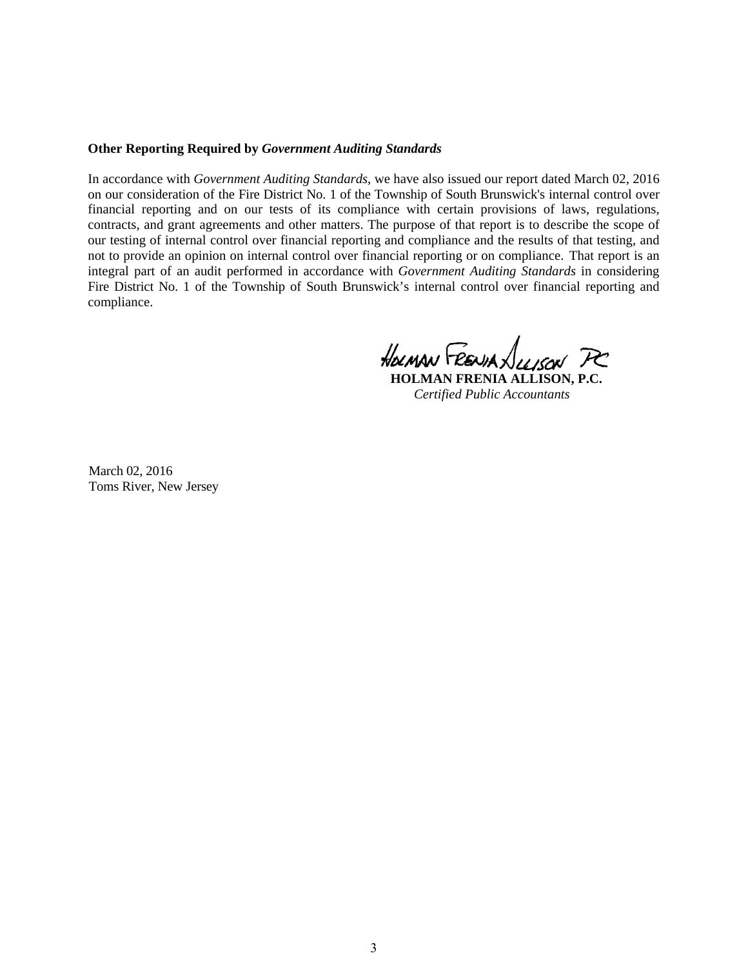#### **Other Reporting Required by** *Government Auditing Standards*

In accordance with *Government Auditing Standards*, we have also issued our report dated March 02, 2016 on our consideration of the Fire District No. 1 of the Township of South Brunswick's internal control over financial reporting and on our tests of its compliance with certain provisions of laws, regulations, contracts, and grant agreements and other matters. The purpose of that report is to describe the scope of our testing of internal control over financial reporting and compliance and the results of that testing, and not to provide an opinion on internal control over financial reporting or on compliance. That report is an integral part of an audit performed in accordance with *Government Auditing Standards* in considering Fire District No. 1 of the Township of South Brunswick's internal control over financial reporting and compliance.

HOLMAN FRENIA LUISON PC **HOLMAN FRENIA ALLISON, P.C.** 

*Certified Public Accountants* 

March 02, 2016 Toms River, New Jersey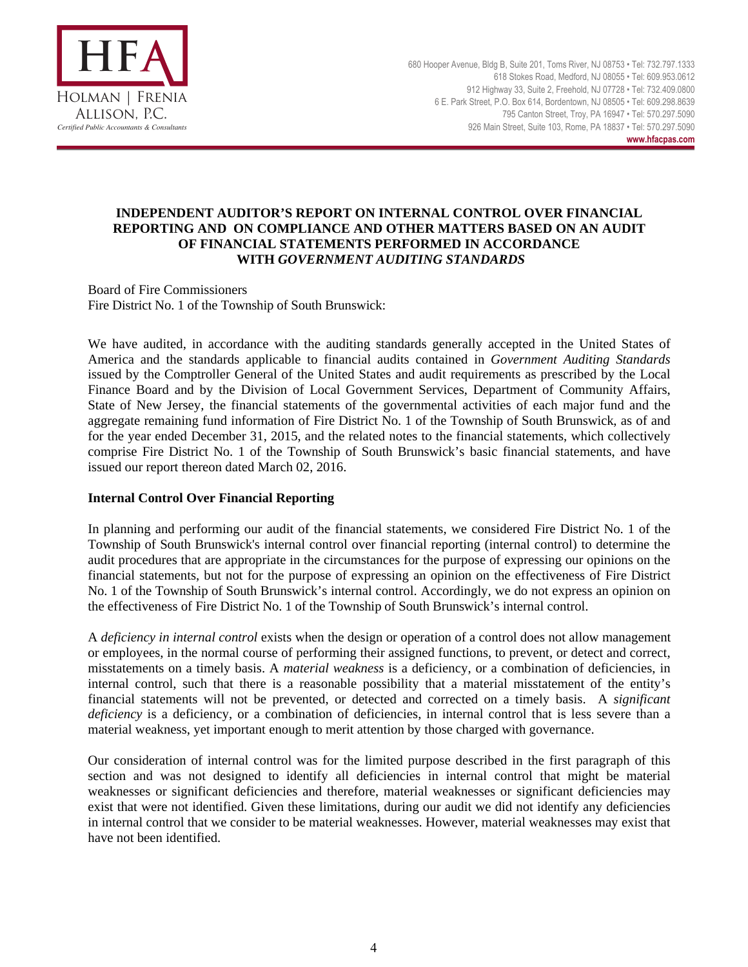

680 Hooper Avenue, Bldg B, Suite 201, Toms River, NJ 08753 • Tel: 732.797.1333 618 Stokes Road, Medford, NJ 08055 • Tel: 609.953.0612 912 Highway 33, Suite 2, Freehold, NJ 07728 • Tel: 732.409.0800 6 E. Park Street, P.O. Box 614, Bordentown, NJ 08505 • Tel: 609.298.8639 795 Canton Street, Troy, PA 16947 • Tel: 570.297.5090 926 Main Street, Suite 103, Rome, PA 18837 • Tel: 570.297.5090 **www.hfacpas.com**

# **INDEPENDENT AUDITOR'S REPORT ON INTERNAL CONTROL OVER FINANCIAL REPORTING AND ON COMPLIANCE AND OTHER MATTERS BASED ON AN AUDIT OF FINANCIAL STATEMENTS PERFORMED IN ACCORDANCE WITH** *GOVERNMENT AUDITING STANDARDS*

Board of Fire Commissioners Fire District No. 1 of the Township of South Brunswick:

We have audited, in accordance with the auditing standards generally accepted in the United States of America and the standards applicable to financial audits contained in *Government Auditing Standards*  issued by the Comptroller General of the United States and audit requirements as prescribed by the Local Finance Board and by the Division of Local Government Services, Department of Community Affairs, State of New Jersey, the financial statements of the governmental activities of each major fund and the aggregate remaining fund information of Fire District No. 1 of the Township of South Brunswick, as of and for the year ended December 31, 2015, and the related notes to the financial statements, which collectively comprise Fire District No. 1 of the Township of South Brunswick's basic financial statements, and have issued our report thereon dated March 02, 2016.

# **Internal Control Over Financial Reporting**

In planning and performing our audit of the financial statements, we considered Fire District No. 1 of the Township of South Brunswick's internal control over financial reporting (internal control) to determine the audit procedures that are appropriate in the circumstances for the purpose of expressing our opinions on the financial statements, but not for the purpose of expressing an opinion on the effectiveness of Fire District No. 1 of the Township of South Brunswick's internal control. Accordingly, we do not express an opinion on the effectiveness of Fire District No. 1 of the Township of South Brunswick's internal control.

A *deficiency in internal control* exists when the design or operation of a control does not allow management or employees, in the normal course of performing their assigned functions, to prevent, or detect and correct, misstatements on a timely basis. A *material weakness* is a deficiency, or a combination of deficiencies, in internal control, such that there is a reasonable possibility that a material misstatement of the entity's financial statements will not be prevented, or detected and corrected on a timely basis. A *significant deficiency* is a deficiency, or a combination of deficiencies, in internal control that is less severe than a material weakness, yet important enough to merit attention by those charged with governance.

Our consideration of internal control was for the limited purpose described in the first paragraph of this section and was not designed to identify all deficiencies in internal control that might be material weaknesses or significant deficiencies and therefore, material weaknesses or significant deficiencies may exist that were not identified. Given these limitations, during our audit we did not identify any deficiencies in internal control that we consider to be material weaknesses. However, material weaknesses may exist that have not been identified.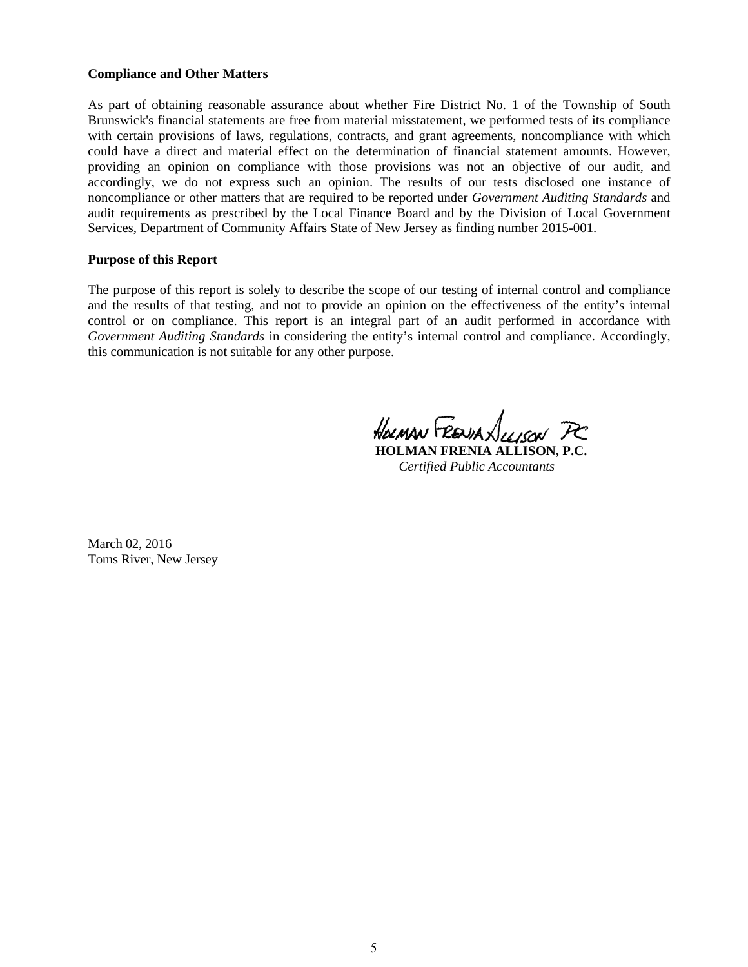# **Compliance and Other Matters**

As part of obtaining reasonable assurance about whether Fire District No. 1 of the Township of South Brunswick's financial statements are free from material misstatement, we performed tests of its compliance with certain provisions of laws, regulations, contracts, and grant agreements, noncompliance with which could have a direct and material effect on the determination of financial statement amounts. However, providing an opinion on compliance with those provisions was not an objective of our audit, and accordingly, we do not express such an opinion. The results of our tests disclosed one instance of noncompliance or other matters that are required to be reported under *Government Auditing Standards* and audit requirements as prescribed by the Local Finance Board and by the Division of Local Government Services, Department of Community Affairs State of New Jersey as finding number 2015-001.

#### **Purpose of this Report**

The purpose of this report is solely to describe the scope of our testing of internal control and compliance and the results of that testing, and not to provide an opinion on the effectiveness of the entity's internal control or on compliance. This report is an integral part of an audit performed in accordance with *Government Auditing Standards* in considering the entity's internal control and compliance. Accordingly, this communication is not suitable for any other purpose.

HOLMAN FRENIA LUISON PC

 **HOLMAN FRENIA ALLISON, P.C.**  *Certified Public Accountants* 

March 02, 2016 Toms River, New Jersey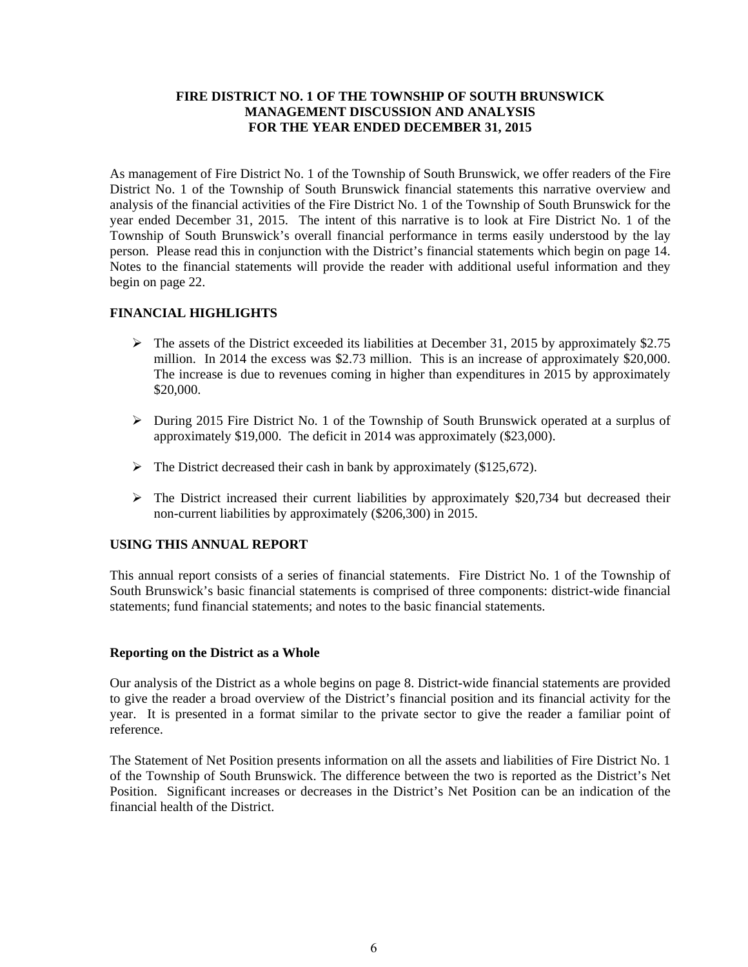# **FIRE DISTRICT NO. 1 OF THE TOWNSHIP OF SOUTH BRUNSWICK MANAGEMENT DISCUSSION AND ANALYSIS FOR THE YEAR ENDED DECEMBER 31, 2015**

As management of Fire District No. 1 of the Township of South Brunswick, we offer readers of the Fire District No. 1 of the Township of South Brunswick financial statements this narrative overview and analysis of the financial activities of the Fire District No. 1 of the Township of South Brunswick for the year ended December 31, 2015. The intent of this narrative is to look at Fire District No. 1 of the Township of South Brunswick's overall financial performance in terms easily understood by the lay person. Please read this in conjunction with the District's financial statements which begin on page 14. Notes to the financial statements will provide the reader with additional useful information and they begin on page 22.

# **FINANCIAL HIGHLIGHTS**

- $\triangleright$  The assets of the District exceeded its liabilities at December 31, 2015 by approximately \$2.75 million. In 2014 the excess was \$2.73 million. This is an increase of approximately \$20,000. The increase is due to revenues coming in higher than expenditures in 2015 by approximately \$20,000.
- $\triangleright$  During 2015 Fire District No. 1 of the Township of South Brunswick operated at a surplus of approximately \$19,000. The deficit in 2014 was approximately (\$23,000).
- $\triangleright$  The District decreased their cash in bank by approximately (\$125,672).
- $\triangleright$  The District increased their current liabilities by approximately \$20,734 but decreased their non-current liabilities by approximately (\$206,300) in 2015.

# **USING THIS ANNUAL REPORT**

This annual report consists of a series of financial statements. Fire District No. 1 of the Township of South Brunswick's basic financial statements is comprised of three components: district-wide financial statements; fund financial statements; and notes to the basic financial statements.

# **Reporting on the District as a Whole**

Our analysis of the District as a whole begins on page 8. District-wide financial statements are provided to give the reader a broad overview of the District's financial position and its financial activity for the year. It is presented in a format similar to the private sector to give the reader a familiar point of reference.

The Statement of Net Position presents information on all the assets and liabilities of Fire District No. 1 of the Township of South Brunswick. The difference between the two is reported as the District's Net Position. Significant increases or decreases in the District's Net Position can be an indication of the financial health of the District.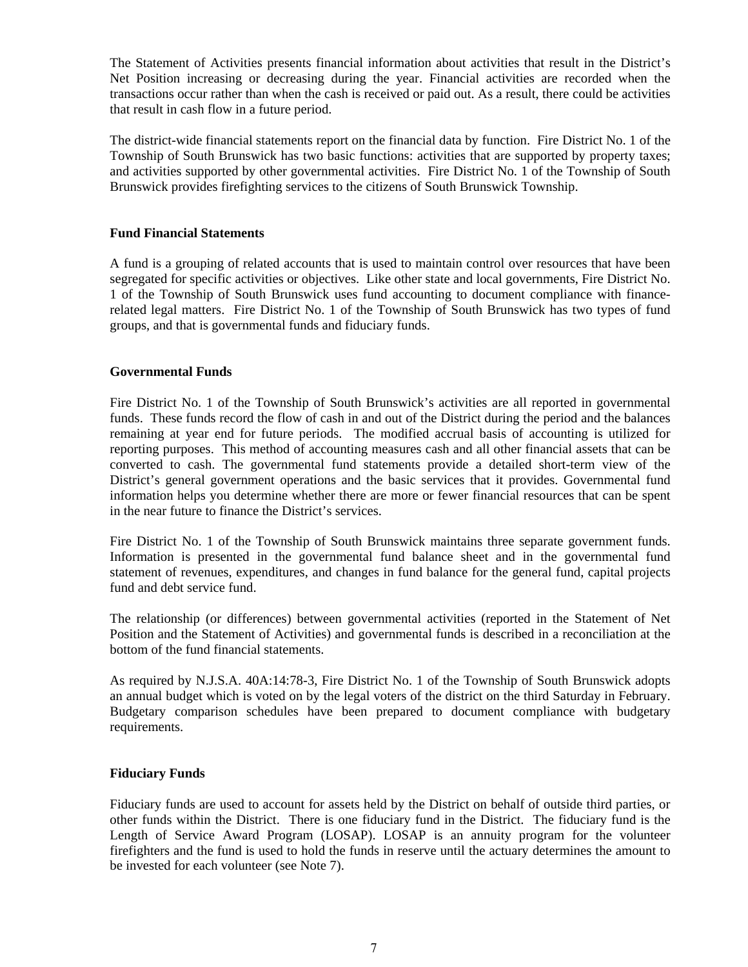The Statement of Activities presents financial information about activities that result in the District's Net Position increasing or decreasing during the year. Financial activities are recorded when the transactions occur rather than when the cash is received or paid out. As a result, there could be activities that result in cash flow in a future period.

The district-wide financial statements report on the financial data by function. Fire District No. 1 of the Township of South Brunswick has two basic functions: activities that are supported by property taxes; and activities supported by other governmental activities. Fire District No. 1 of the Township of South Brunswick provides firefighting services to the citizens of South Brunswick Township.

# **Fund Financial Statements**

A fund is a grouping of related accounts that is used to maintain control over resources that have been segregated for specific activities or objectives. Like other state and local governments, Fire District No. 1 of the Township of South Brunswick uses fund accounting to document compliance with financerelated legal matters. Fire District No. 1 of the Township of South Brunswick has two types of fund groups, and that is governmental funds and fiduciary funds.

#### **Governmental Funds**

Fire District No. 1 of the Township of South Brunswick's activities are all reported in governmental funds. These funds record the flow of cash in and out of the District during the period and the balances remaining at year end for future periods. The modified accrual basis of accounting is utilized for reporting purposes. This method of accounting measures cash and all other financial assets that can be converted to cash. The governmental fund statements provide a detailed short-term view of the District's general government operations and the basic services that it provides. Governmental fund information helps you determine whether there are more or fewer financial resources that can be spent in the near future to finance the District's services.

Fire District No. 1 of the Township of South Brunswick maintains three separate government funds. Information is presented in the governmental fund balance sheet and in the governmental fund statement of revenues, expenditures, and changes in fund balance for the general fund, capital projects fund and debt service fund.

The relationship (or differences) between governmental activities (reported in the Statement of Net Position and the Statement of Activities) and governmental funds is described in a reconciliation at the bottom of the fund financial statements.

As required by N.J.S.A. 40A:14:78-3, Fire District No. 1 of the Township of South Brunswick adopts an annual budget which is voted on by the legal voters of the district on the third Saturday in February. Budgetary comparison schedules have been prepared to document compliance with budgetary requirements.

# **Fiduciary Funds**

Fiduciary funds are used to account for assets held by the District on behalf of outside third parties, or other funds within the District. There is one fiduciary fund in the District. The fiduciary fund is the Length of Service Award Program (LOSAP). LOSAP is an annuity program for the volunteer firefighters and the fund is used to hold the funds in reserve until the actuary determines the amount to be invested for each volunteer (see Note 7).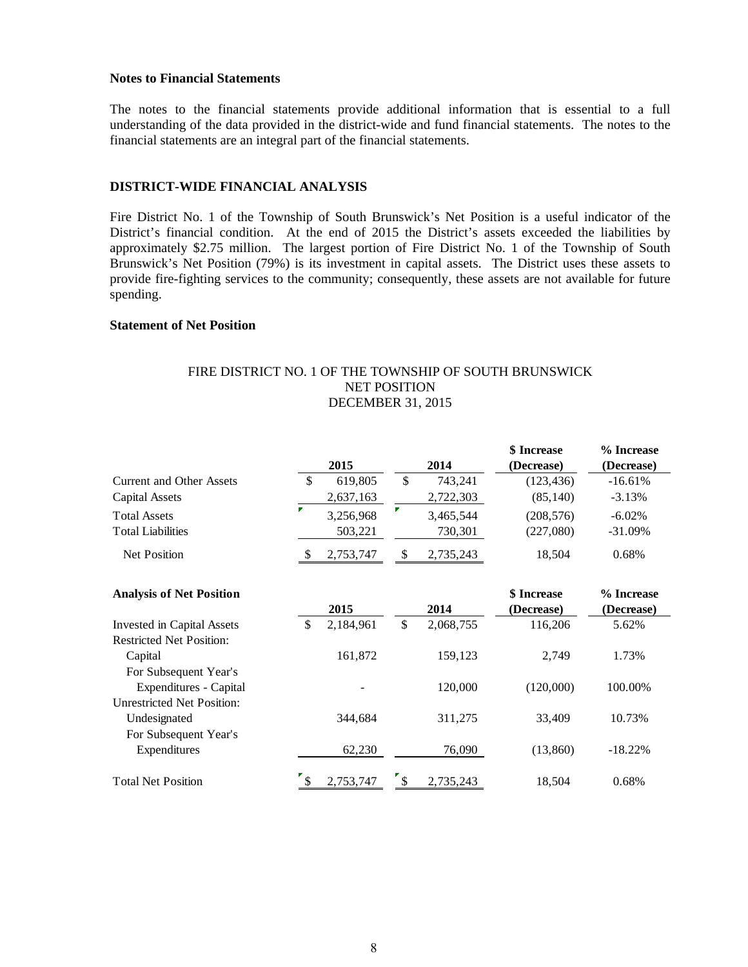#### **Notes to Financial Statements**

The notes to the financial statements provide additional information that is essential to a full understanding of the data provided in the district-wide and fund financial statements. The notes to the financial statements are an integral part of the financial statements.

#### **DISTRICT-WIDE FINANCIAL ANALYSIS**

Fire District No. 1 of the Township of South Brunswick's Net Position is a useful indicator of the District's financial condition. At the end of 2015 the District's assets exceeded the liabilities by approximately \$2.75 million. The largest portion of Fire District No. 1 of the Township of South Brunswick's Net Position (79%) is its investment in capital assets. The District uses these assets to provide fire-fighting services to the community; consequently, these assets are not available for future spending.

#### **Statement of Net Position**

#### FIRE DISTRICT NO. 1 OF THE TOWNSHIP OF SOUTH BRUNSWICK NET POSITION DECEMBER 31, 2015

|                                   |                            |           |                           |           | \$ Increase | % Increase |
|-----------------------------------|----------------------------|-----------|---------------------------|-----------|-------------|------------|
|                                   |                            | 2015      |                           | 2014      | (Decrease)  | (Decrease) |
| <b>Current and Other Assets</b>   | $\mathbb{S}$               | 619,805   | \$                        | 743,241   | (123, 436)  | $-16.61%$  |
| <b>Capital Assets</b>             |                            | 2,637,163 |                           | 2,722,303 | (85, 140)   | $-3.13%$   |
| <b>Total Assets</b>               | P.                         | 3,256,968 | P.                        | 3,465,544 | (208, 576)  | $-6.02%$   |
| <b>Total Liabilities</b>          |                            | 503,221   |                           | 730,301   | (227,080)   | $-31.09%$  |
| <b>Net Position</b>               | \$                         | 2,753,747 | \$                        | 2,735,243 | 18,504      | 0.68%      |
| <b>Analysis of Net Position</b>   |                            |           |                           |           | \$ Increase | % Increase |
|                                   |                            | 2015      |                           | 2014      | (Decrease)  | (Decrease) |
| <b>Invested in Capital Assets</b> | \$                         | 2,184,961 | $\boldsymbol{\mathsf{S}}$ | 2,068,755 | 116,206     | 5.62%      |
| <b>Restricted Net Position:</b>   |                            |           |                           |           |             |            |
| Capital                           |                            | 161,872   |                           | 159,123   | 2,749       | 1.73%      |
| For Subsequent Year's             |                            |           |                           |           |             |            |
| Expenditures - Capital            |                            |           |                           | 120,000   | (120,000)   | 100.00%    |
| <b>Unrestricted Net Position:</b> |                            |           |                           |           |             |            |
| Undesignated                      |                            | 344,684   |                           | 311,275   | 33,409      | 10.73%     |
| For Subsequent Year's             |                            |           |                           |           |             |            |
| Expenditures                      |                            | 62,230    |                           | 76,090    | (13,860)    | $-18.22%$  |
| <b>Total Net Position</b>         | $\mathbf{r}_{\mathcal{S}}$ | 2,753,747 | $\mathbf{r}_{\$}$         | 2,735,243 | 18,504      | 0.68%      |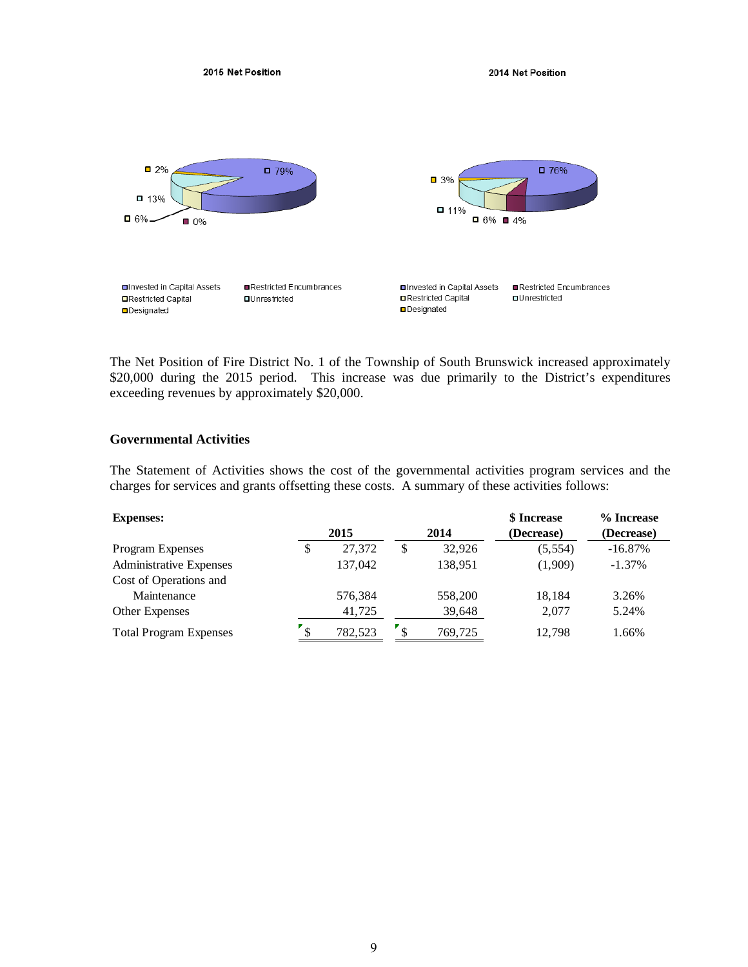

The Net Position of Fire District No. 1 of the Township of South Brunswick increased approximately \$20,000 during the 2015 period. This increase was due primarily to the District's expenditures exceeding revenues by approximately \$20,000.

# **Governmental Activities**

The Statement of Activities shows the cost of the governmental activities program services and the charges for services and grants offsetting these costs. A summary of these activities follows:

| <b>Expenses:</b>               |              |              | \$ Increase | % Increase |
|--------------------------------|--------------|--------------|-------------|------------|
|                                | 2015         | 2014         | (Decrease)  | (Decrease) |
| <b>Program Expenses</b>        | \$<br>27,372 | \$<br>32.926 | (5, 554)    | $-16.87\%$ |
| <b>Administrative Expenses</b> | 137,042      | 138,951      | (1,909)     | $-1.37\%$  |
| Cost of Operations and         |              |              |             |            |
| Maintenance                    | 576,384      | 558,200      | 18.184      | 3.26%      |
| <b>Other Expenses</b>          | 41,725       | 39,648       | 2,077       | 5.24%      |
| <b>Total Program Expenses</b>  | 782.523      | 769,725      | 12.798      | 1.66%      |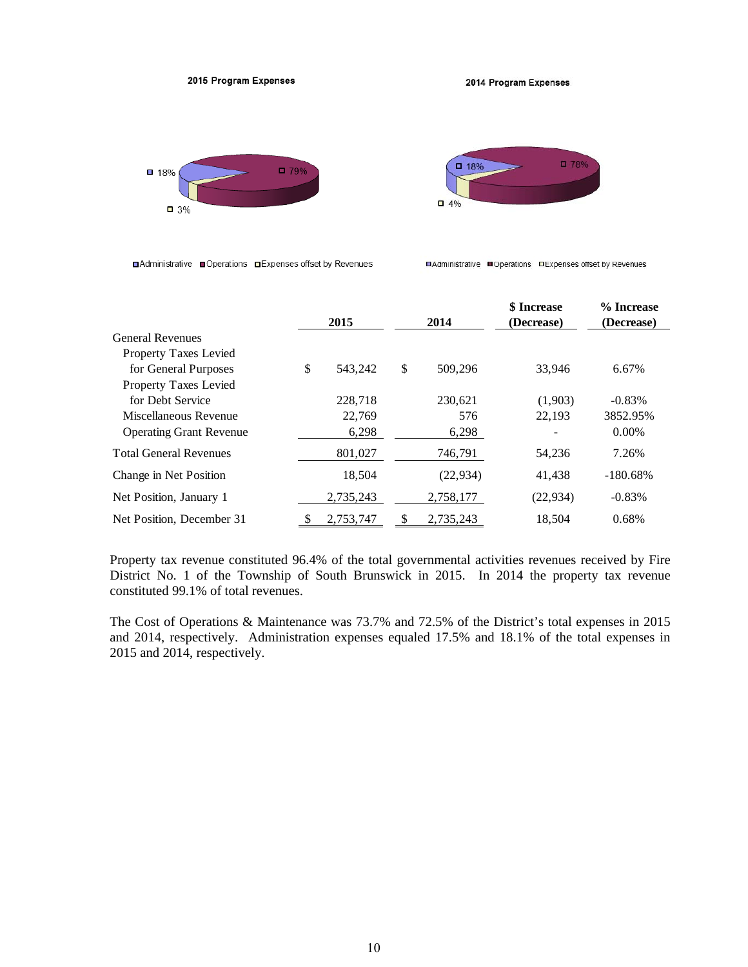

2014 Program Expenses





**■Administrative ■Operations ■Expenses offset by Revenues** 

**■Administrative ■Operations ■Expenses offset by Revenues** 

|                                | 2015          | 2014 |           | <b>\$</b> Increase<br>(Decrease) |             |
|--------------------------------|---------------|------|-----------|----------------------------------|-------------|
| <b>General Revenues</b>        |               |      |           |                                  |             |
| <b>Property Taxes Levied</b>   |               |      |           |                                  |             |
| for General Purposes           | \$<br>543.242 | \$   | 509,296   | 33.946                           | 6.67%       |
| Property Taxes Levied          |               |      |           |                                  |             |
| for Debt Service               | 228,718       |      | 230.621   | (1,903)                          | $-0.83%$    |
| Miscellaneous Revenue          | 22,769        |      | 576       | 22.193                           | 3852.95%    |
| <b>Operating Grant Revenue</b> | 6,298         |      | 6,298     | ۰                                | $0.00\%$    |
| <b>Total General Revenues</b>  | 801,027       |      | 746,791   | 54,236                           | 7.26%       |
| Change in Net Position         | 18,504        |      | (22, 934) | 41,438                           | $-180.68\%$ |
| Net Position, January 1        | 2,735,243     |      | 2,758,177 | (22, 934)                        | $-0.83%$    |
| Net Position, December 31      | 2,753,747     |      | 2,735,243 | 18,504                           | 0.68%       |

Property tax revenue constituted 96.4% of the total governmental activities revenues received by Fire District No. 1 of the Township of South Brunswick in 2015. In 2014 the property tax revenue constituted 99.1% of total revenues.

The Cost of Operations & Maintenance was 73.7% and 72.5% of the District's total expenses in 2015 and 2014, respectively. Administration expenses equaled 17.5% and 18.1% of the total expenses in 2015 and 2014, respectively.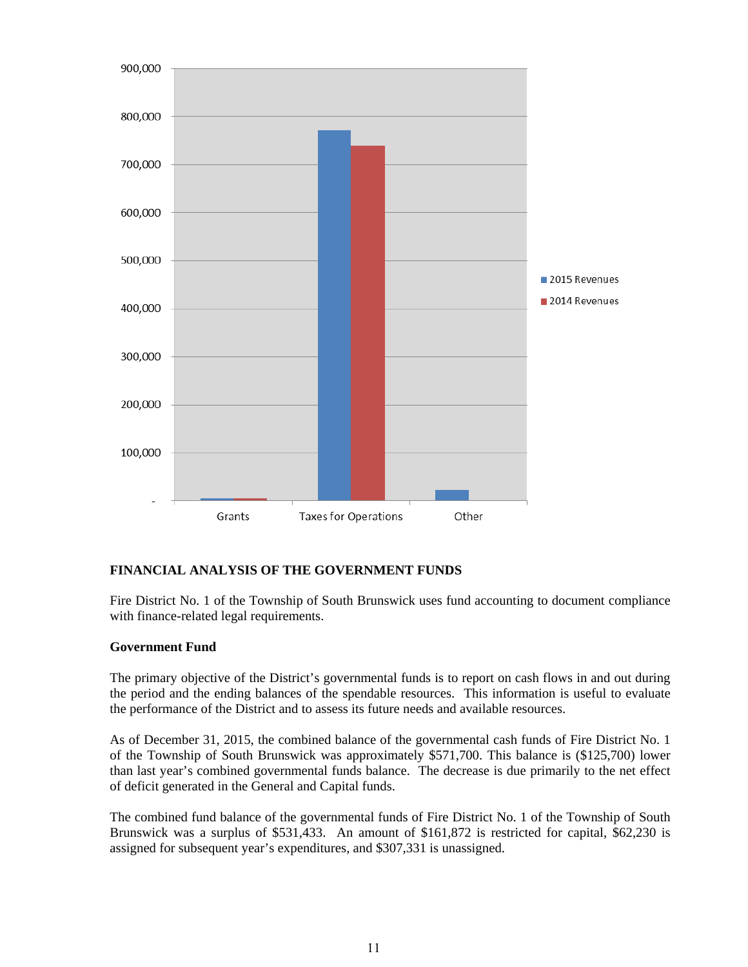

# **FINANCIAL ANALYSIS OF THE GOVERNMENT FUNDS**

Fire District No. 1 of the Township of South Brunswick uses fund accounting to document compliance with finance-related legal requirements.

# **Government Fund**

The primary objective of the District's governmental funds is to report on cash flows in and out during the period and the ending balances of the spendable resources. This information is useful to evaluate the performance of the District and to assess its future needs and available resources.

As of December 31, 2015, the combined balance of the governmental cash funds of Fire District No. 1 of the Township of South Brunswick was approximately \$571,700. This balance is (\$125,700) lower than last year's combined governmental funds balance. The decrease is due primarily to the net effect of deficit generated in the General and Capital funds.

The combined fund balance of the governmental funds of Fire District No. 1 of the Township of South Brunswick was a surplus of \$531,433. An amount of \$161,872 is restricted for capital, \$62,230 is assigned for subsequent year's expenditures, and \$307,331 is unassigned.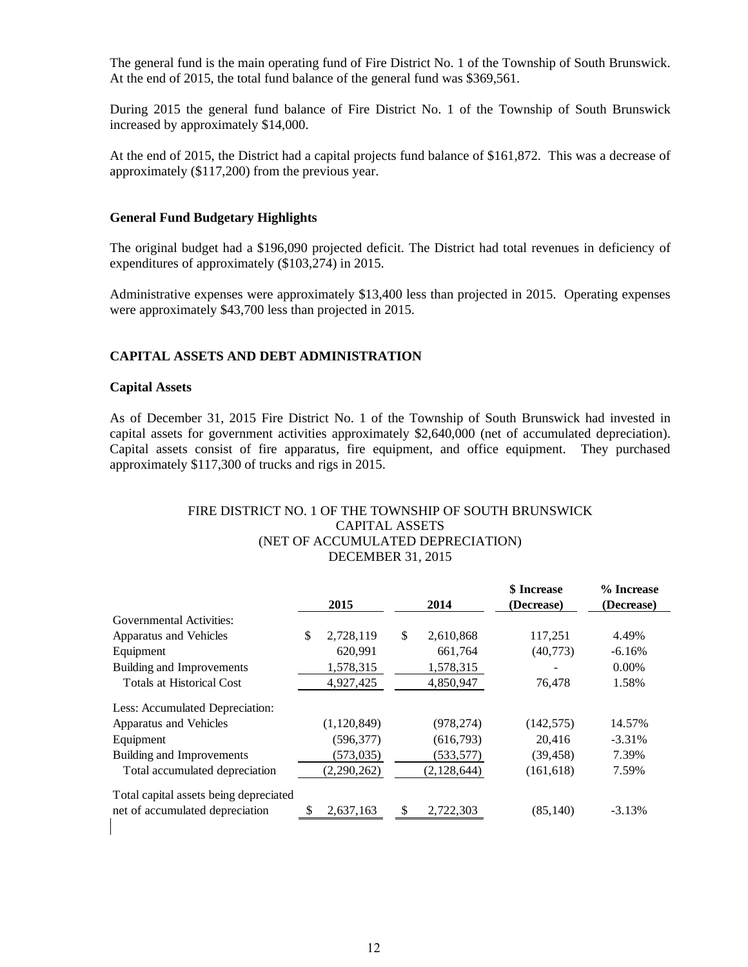The general fund is the main operating fund of Fire District No. 1 of the Township of South Brunswick. At the end of 2015, the total fund balance of the general fund was \$369,561.

During 2015 the general fund balance of Fire District No. 1 of the Township of South Brunswick increased by approximately \$14,000.

At the end of 2015, the District had a capital projects fund balance of \$161,872. This was a decrease of approximately (\$117,200) from the previous year.

#### **General Fund Budgetary Highlights**

The original budget had a \$196,090 projected deficit. The District had total revenues in deficiency of expenditures of approximately (\$103,274) in 2015.

Administrative expenses were approximately \$13,400 less than projected in 2015. Operating expenses were approximately \$43,700 less than projected in 2015.

#### **CAPITAL ASSETS AND DEBT ADMINISTRATION**

#### **Capital Assets**

As of December 31, 2015 Fire District No. 1 of the Township of South Brunswick had invested in capital assets for government activities approximately \$2,640,000 (net of accumulated depreciation). Capital assets consist of fire apparatus, fire equipment, and office equipment. They purchased approximately \$117,300 of trucks and rigs in 2015.

#### FIRE DISTRICT NO. 1 OF THE TOWNSHIP OF SOUTH BRUNSWICK CAPITAL ASSETS (NET OF ACCUMULATED DEPRECIATION) DECEMBER 31, 2015

|                                        |                 |      |               | \$ Increase | % Increase |
|----------------------------------------|-----------------|------|---------------|-------------|------------|
|                                        | 2015            | 2014 |               | (Decrease)  | (Decrease) |
| Governmental Activities:               |                 |      |               |             |            |
| Apparatus and Vehicles                 | \$<br>2,728,119 | \$   | 2,610,868     | 117,251     | 4.49%      |
| Equipment                              | 620,991         |      | 661,764       | (40, 773)   | $-6.16%$   |
| <b>Building and Improvements</b>       | 1,578,315       |      | 1,578,315     |             | $0.00\%$   |
| <b>Totals at Historical Cost</b>       | 4,927,425       |      | 4,850,947     | 76,478      | 1.58%      |
| Less: Accumulated Depreciation:        |                 |      |               |             |            |
| Apparatus and Vehicles                 | (1, 120, 849)   |      | (978, 274)    | (142, 575)  | 14.57%     |
| Equipment                              | (596, 377)      |      | (616, 793)    | 20,416      | $-3.31%$   |
| <b>Building and Improvements</b>       | (573, 035)      |      | (533, 577)    | (39, 458)   | 7.39%      |
| Total accumulated depreciation         | (2,290,262)     |      | (2, 128, 644) | (161, 618)  | 7.59%      |
| Total capital assets being depreciated |                 |      |               |             |            |
| net of accumulated depreciation        | 2,637,163       | S    | 2,722,303     | (85, 140)   | $-3.13%$   |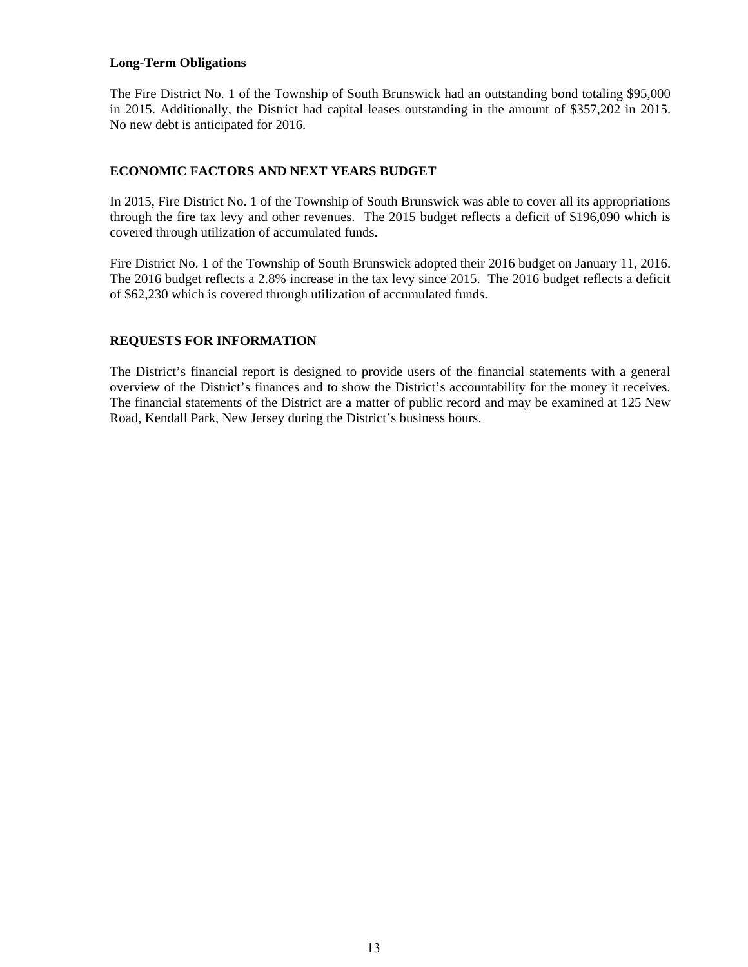# **Long-Term Obligations**

The Fire District No. 1 of the Township of South Brunswick had an outstanding bond totaling \$95,000 in 2015. Additionally, the District had capital leases outstanding in the amount of \$357,202 in 2015. No new debt is anticipated for 2016.

# **ECONOMIC FACTORS AND NEXT YEARS BUDGET**

In 2015, Fire District No. 1 of the Township of South Brunswick was able to cover all its appropriations through the fire tax levy and other revenues. The 2015 budget reflects a deficit of \$196,090 which is covered through utilization of accumulated funds.

Fire District No. 1 of the Township of South Brunswick adopted their 2016 budget on January 11, 2016. The 2016 budget reflects a 2.8% increase in the tax levy since 2015. The 2016 budget reflects a deficit of \$62,230 which is covered through utilization of accumulated funds.

# **REQUESTS FOR INFORMATION**

The District's financial report is designed to provide users of the financial statements with a general overview of the District's finances and to show the District's accountability for the money it receives. The financial statements of the District are a matter of public record and may be examined at 125 New Road, Kendall Park, New Jersey during the District's business hours.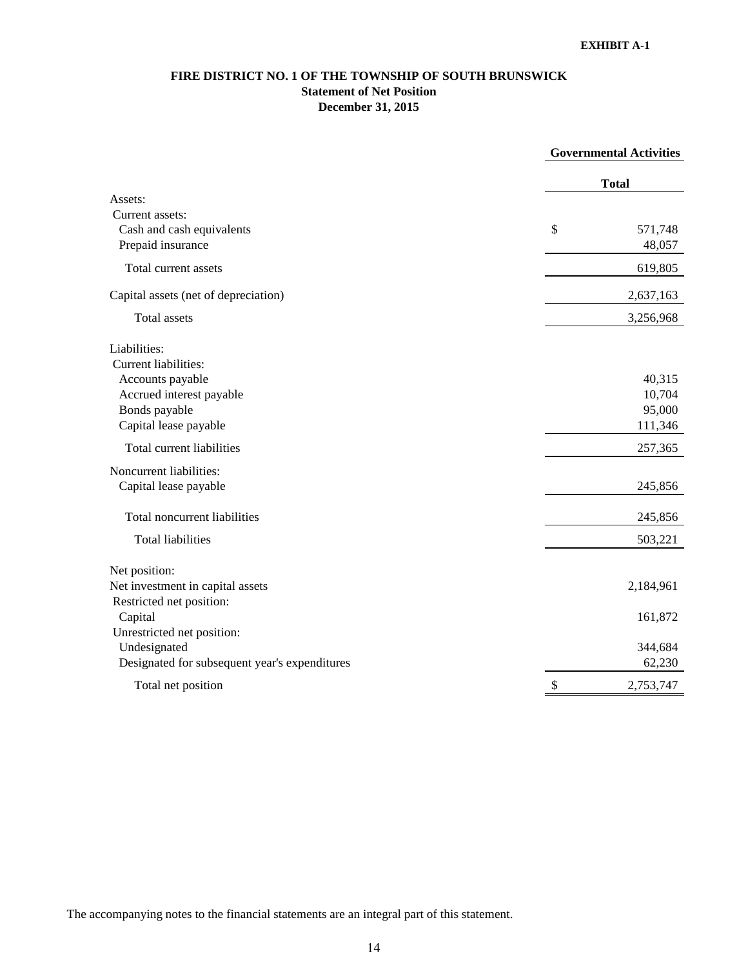# **FIRE DISTRICT NO. 1 OF THE TOWNSHIP OF SOUTH BRUNSWICK Statement of Net Position December 31, 2015**

|                                               |               | <b>Governmental Activities</b> |
|-----------------------------------------------|---------------|--------------------------------|
|                                               |               | <b>Total</b>                   |
| Assets:                                       |               |                                |
| Current assets:                               |               |                                |
| Cash and cash equivalents                     | \$            | 571,748                        |
| Prepaid insurance                             |               | 48,057                         |
| Total current assets                          |               | 619,805                        |
| Capital assets (net of depreciation)          |               | 2,637,163                      |
| Total assets                                  |               | 3,256,968                      |
| Liabilities:                                  |               |                                |
| Current liabilities:                          |               |                                |
| Accounts payable                              |               | 40,315                         |
| Accrued interest payable                      |               | 10,704                         |
| Bonds payable                                 |               | 95,000                         |
| Capital lease payable                         |               | 111,346                        |
| Total current liabilities                     |               | 257,365                        |
| Noncurrent liabilities:                       |               |                                |
| Capital lease payable                         |               | 245,856                        |
| Total noncurrent liabilities                  |               | 245,856                        |
| <b>Total liabilities</b>                      |               | 503,221                        |
| Net position:                                 |               |                                |
| Net investment in capital assets              |               | 2,184,961                      |
| Restricted net position:                      |               |                                |
| Capital                                       |               | 161,872                        |
| Unrestricted net position:                    |               |                                |
| Undesignated                                  |               | 344,684                        |
| Designated for subsequent year's expenditures |               | 62,230                         |
| Total net position                            | $\mathcal{S}$ | 2,753,747                      |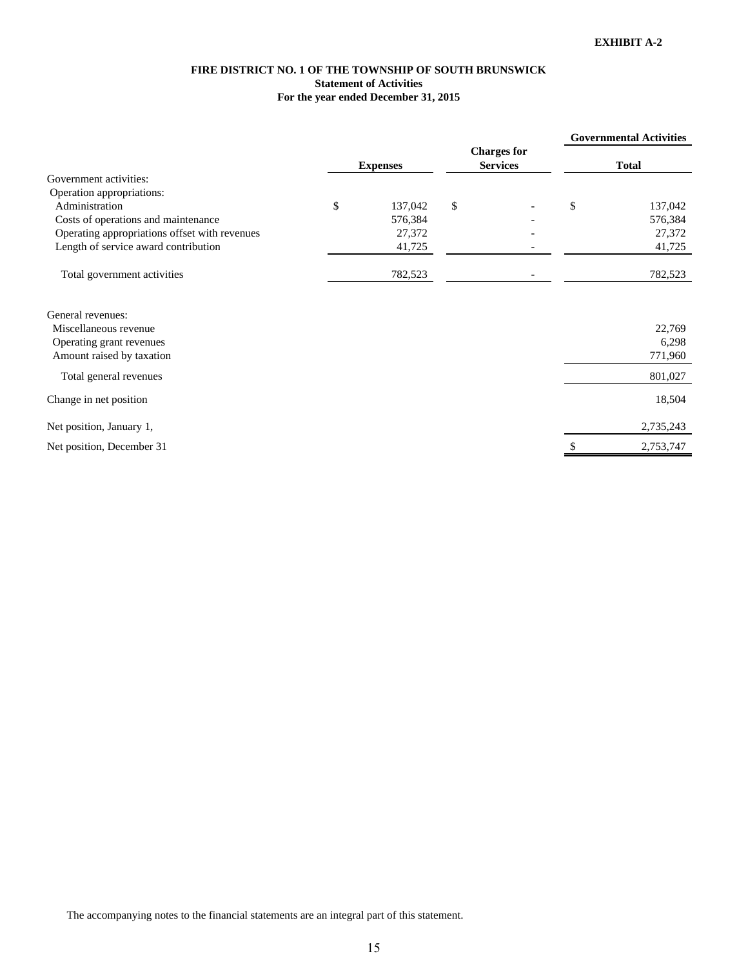#### **FIRE DISTRICT NO. 1 OF THE TOWNSHIP OF SOUTH BRUNSWICK Statement of Activities For the year ended December 31, 2015**

|                                               |                 |         |                                       |                          | <b>Governmental Activities</b> |
|-----------------------------------------------|-----------------|---------|---------------------------------------|--------------------------|--------------------------------|
|                                               | <b>Expenses</b> |         | <b>Charges for</b><br><b>Services</b> |                          | <b>Total</b>                   |
| Government activities:                        |                 |         |                                       |                          |                                |
| Operation appropriations:                     |                 |         |                                       |                          |                                |
| Administration                                | \$              | 137,042 | \$                                    | $\overline{\phantom{0}}$ | \$<br>137,042                  |
| Costs of operations and maintenance           |                 | 576,384 |                                       |                          | 576,384                        |
| Operating appropriations offset with revenues |                 | 27,372  |                                       |                          | 27,372                         |
| Length of service award contribution          |                 | 41,725  |                                       |                          | 41,725                         |
| Total government activities                   |                 | 782,523 |                                       |                          | 782,523                        |
|                                               |                 |         |                                       |                          |                                |

| General revenues:         |           |
|---------------------------|-----------|
| Miscellaneous revenue     | 22,769    |
| Operating grant revenues  | 6,298     |
| Amount raised by taxation | 771,960   |
| Total general revenues    | 801,027   |
| Change in net position    | 18,504    |
| Net position, January 1,  | 2,735,243 |
| Net position, December 31 | 2,753,747 |
|                           |           |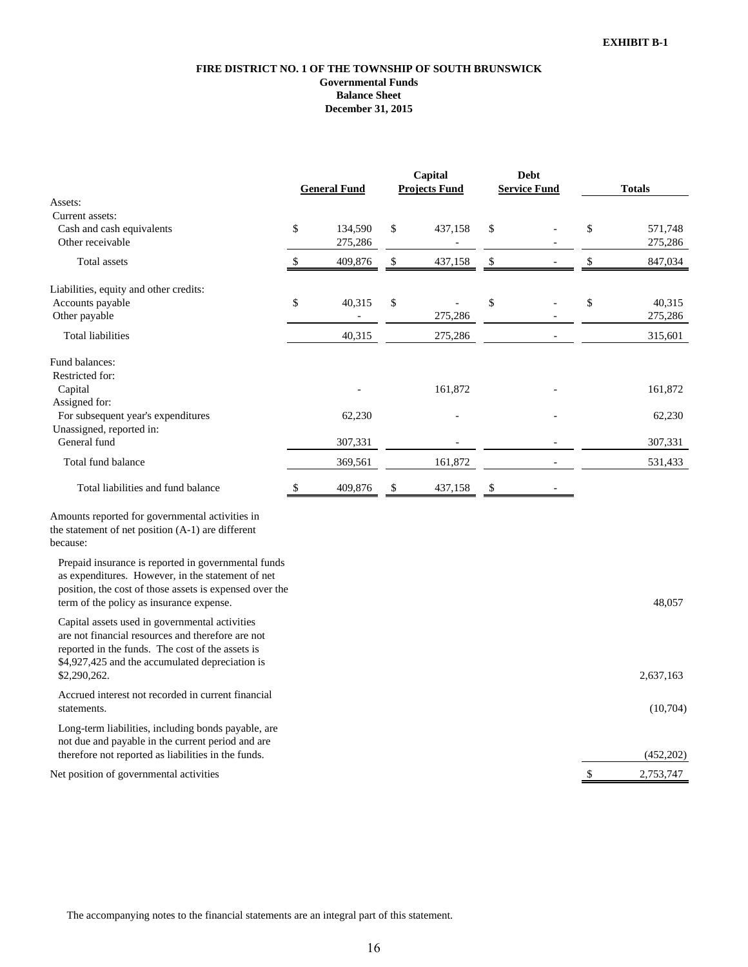#### **FIRE DISTRICT NO. 1 OF THE TOWNSHIP OF SOUTH BRUNSWICK Governmental Funds Balance Sheet December 31, 2015**

|                                                                                                                                                                                                                 | <b>General Fund</b>      | Capital<br>Debt<br><b>Projects Fund</b><br><b>Service Fund</b> |         | <b>Totals</b> |    |                    |
|-----------------------------------------------------------------------------------------------------------------------------------------------------------------------------------------------------------------|--------------------------|----------------------------------------------------------------|---------|---------------|----|--------------------|
| Assets:                                                                                                                                                                                                         |                          |                                                                |         |               |    |                    |
| Current assets:                                                                                                                                                                                                 |                          |                                                                |         |               |    |                    |
| Cash and cash equivalents<br>Other receivable                                                                                                                                                                   | \$<br>134,590<br>275,286 | \$                                                             | 437,158 | \$            | \$ | 571,748<br>275,286 |
| Total assets                                                                                                                                                                                                    | \$<br>409,876            | \$                                                             | 437,158 | \$            | \$ | 847,034            |
| Liabilities, equity and other credits:                                                                                                                                                                          |                          |                                                                |         |               |    |                    |
| Accounts payable<br>Other payable                                                                                                                                                                               | \$<br>40,315             | \$                                                             | 275,286 | \$            | \$ | 40,315<br>275,286  |
| Total liabilities                                                                                                                                                                                               | 40,315                   |                                                                | 275,286 |               |    | 315,601            |
| Fund balances:                                                                                                                                                                                                  |                          |                                                                |         |               |    |                    |
| Restricted for:<br>Capital                                                                                                                                                                                      |                          |                                                                | 161,872 |               |    | 161,872            |
| Assigned for:<br>For subsequent year's expenditures                                                                                                                                                             | 62,230                   |                                                                |         |               |    | 62,230             |
| Unassigned, reported in:<br>General fund                                                                                                                                                                        | 307,331                  |                                                                |         |               |    | 307,331            |
| Total fund balance                                                                                                                                                                                              | 369,561                  |                                                                | 161,872 |               |    | 531,433            |
| Total liabilities and fund balance                                                                                                                                                                              | \$<br>409,876            | \$                                                             | 437,158 | \$            |    |                    |
| Amounts reported for governmental activities in<br>the statement of net position (A-1) are different<br>because:                                                                                                |                          |                                                                |         |               |    |                    |
| Prepaid insurance is reported in governmental funds<br>as expenditures. However, in the statement of net<br>position, the cost of those assets is expensed over the<br>term of the policy as insurance expense. |                          |                                                                |         |               |    | 48,057             |
| Capital assets used in governmental activities<br>are not financial resources and therefore are not<br>reported in the funds. The cost of the assets is<br>\$4,927,425 and the accumulated depreciation is      |                          |                                                                |         |               |    |                    |
| \$2,290,262.                                                                                                                                                                                                    |                          |                                                                |         |               |    | 2,637,163          |
| Accrued interest not recorded in current financial<br>statements.                                                                                                                                               |                          |                                                                |         |               |    | (10,704)           |
| Long-term liabilities, including bonds payable, are<br>not due and payable in the current period and are                                                                                                        |                          |                                                                |         |               |    |                    |
| therefore not reported as liabilities in the funds.                                                                                                                                                             |                          |                                                                |         |               |    | (452,202)          |
| Net position of governmental activities                                                                                                                                                                         |                          |                                                                |         |               | \$ | 2,753,747          |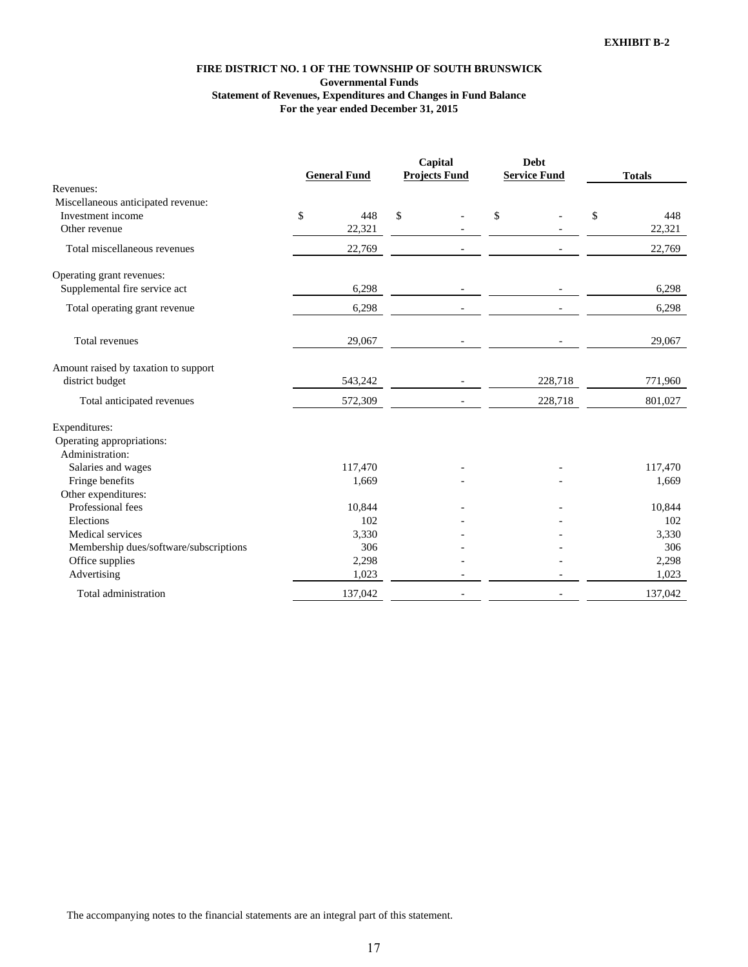#### **FIRE DISTRICT NO. 1 OF THE TOWNSHIP OF SOUTH BRUNSWICK Governmental Funds Statement of Revenues, Expenditures and Changes in Fund Balance For the year ended December 31, 2015**

|                                        |                     | Capital                  | <b>Debt</b>              |               |
|----------------------------------------|---------------------|--------------------------|--------------------------|---------------|
|                                        | <b>General Fund</b> | <b>Projects Fund</b>     | <b>Service Fund</b>      | <b>Totals</b> |
| Revenues:                              |                     |                          |                          |               |
| Miscellaneous anticipated revenue:     |                     |                          |                          |               |
| Investment income                      | \$<br>448           | \$                       | \$                       | \$<br>448     |
| Other revenue                          | 22,321              |                          |                          | 22,321        |
| Total miscellaneous revenues           | 22,769              |                          |                          | 22,769        |
| Operating grant revenues:              |                     |                          |                          |               |
| Supplemental fire service act          | 6,298               |                          |                          | 6,298         |
| Total operating grant revenue          | 6,298               |                          |                          | 6,298         |
| Total revenues                         | 29,067              |                          |                          | 29,067        |
| Amount raised by taxation to support   |                     |                          |                          |               |
| district budget                        | 543,242             |                          | 228,718                  | 771,960       |
| Total anticipated revenues             | 572,309             |                          | 228,718                  | 801,027       |
| Expenditures:                          |                     |                          |                          |               |
| Operating appropriations:              |                     |                          |                          |               |
| Administration:                        |                     |                          |                          |               |
| Salaries and wages                     | 117,470             |                          |                          | 117,470       |
| Fringe benefits                        | 1,669               |                          |                          | 1,669         |
| Other expenditures:                    |                     |                          |                          |               |
| Professional fees                      | 10,844              |                          |                          | 10,844        |
| Elections                              | 102                 |                          |                          | 102           |
| Medical services                       | 3,330               |                          |                          | 3,330         |
| Membership dues/software/subscriptions | 306                 |                          |                          | 306           |
| Office supplies                        | 2,298               |                          |                          | 2,298         |
| Advertising                            | 1,023               |                          |                          | 1,023         |
| Total administration                   | 137,042             | $\overline{\phantom{a}}$ | $\overline{\phantom{a}}$ | 137,042       |

The accompanying notes to the financial statements are an integral part of this statement.

17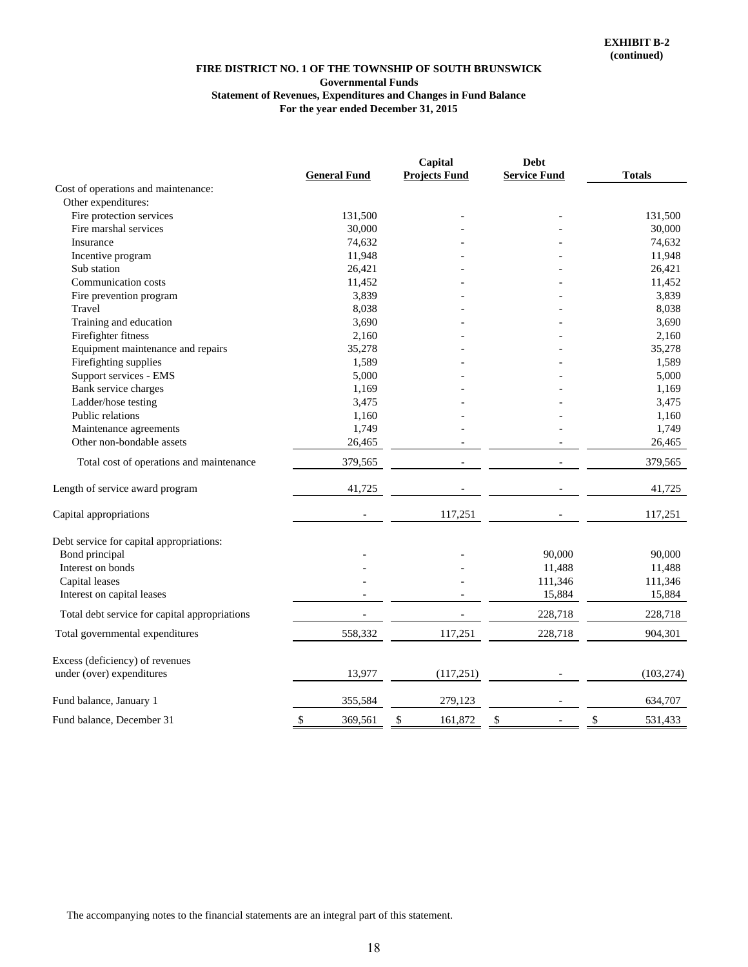#### **Statement of Revenues, Expenditures and Changes in Fund Balance For the year ended December 31, 2015 FIRE DISTRICT NO. 1 OF THE TOWNSHIP OF SOUTH BRUNSWICK Governmental Funds**

|                                               |                     | Capital              | <b>Debt</b>         |                          |
|-----------------------------------------------|---------------------|----------------------|---------------------|--------------------------|
|                                               | <b>General Fund</b> | <b>Projects Fund</b> | <b>Service Fund</b> | <b>Totals</b>            |
| Cost of operations and maintenance:           |                     |                      |                     |                          |
| Other expenditures:                           |                     |                      |                     |                          |
| Fire protection services                      | 131,500             |                      |                     | 131,500                  |
| Fire marshal services                         | 30,000              |                      |                     | 30,000                   |
| Insurance                                     | 74,632              |                      |                     | 74,632                   |
| Incentive program                             | 11,948              |                      |                     | 11,948                   |
| Sub station                                   | 26,421              |                      |                     | 26,421                   |
| Communication costs                           | 11,452              |                      |                     | 11,452                   |
| Fire prevention program                       | 3,839               |                      |                     | 3,839                    |
| Travel                                        | 8,038               |                      |                     | 8,038                    |
| Training and education                        | 3,690               |                      |                     | 3,690                    |
| Firefighter fitness                           | 2,160               |                      |                     | 2,160                    |
| Equipment maintenance and repairs             | 35,278              |                      |                     | 35,278                   |
| Firefighting supplies                         | 1,589               |                      |                     | 1,589                    |
| Support services - EMS                        | 5,000               |                      |                     | 5,000                    |
| Bank service charges                          | 1,169               |                      |                     | 1,169                    |
| Ladder/hose testing                           | 3,475               |                      |                     | 3,475                    |
| Public relations                              | 1,160               |                      |                     | 1,160                    |
| Maintenance agreements                        | 1,749               |                      |                     | 1,749                    |
| Other non-bondable assets                     | 26,465              |                      |                     | 26,465                   |
| Total cost of operations and maintenance      | 379,565             |                      |                     | 379,565                  |
| Length of service award program               | 41,725              |                      |                     | 41,725                   |
| Capital appropriations                        |                     | 117,251              |                     | 117,251                  |
| Debt service for capital appropriations:      |                     |                      |                     |                          |
| Bond principal                                |                     |                      | 90,000              | 90,000                   |
| Interest on bonds                             |                     |                      | 11,488              | 11,488                   |
| Capital leases                                |                     |                      | 111,346             | 111,346                  |
| Interest on capital leases                    |                     | $\overline{a}$       | 15,884              | 15,884                   |
| Total debt service for capital appropriations |                     |                      | 228,718             | 228,718                  |
| Total governmental expenditures               | 558,332             | 117,251              | 228,718             | 904,301                  |
| Excess (deficiency) of revenues               |                     |                      |                     |                          |
| under (over) expenditures                     | 13,977              | (117,251)            |                     | (103, 274)               |
| Fund balance, January 1                       | 355,584             | 279,123              |                     | 634,707                  |
| Fund balance, December 31                     | \$<br>369,561       | \$<br>161,872        | \$                  | $\mathcal{S}$<br>531,433 |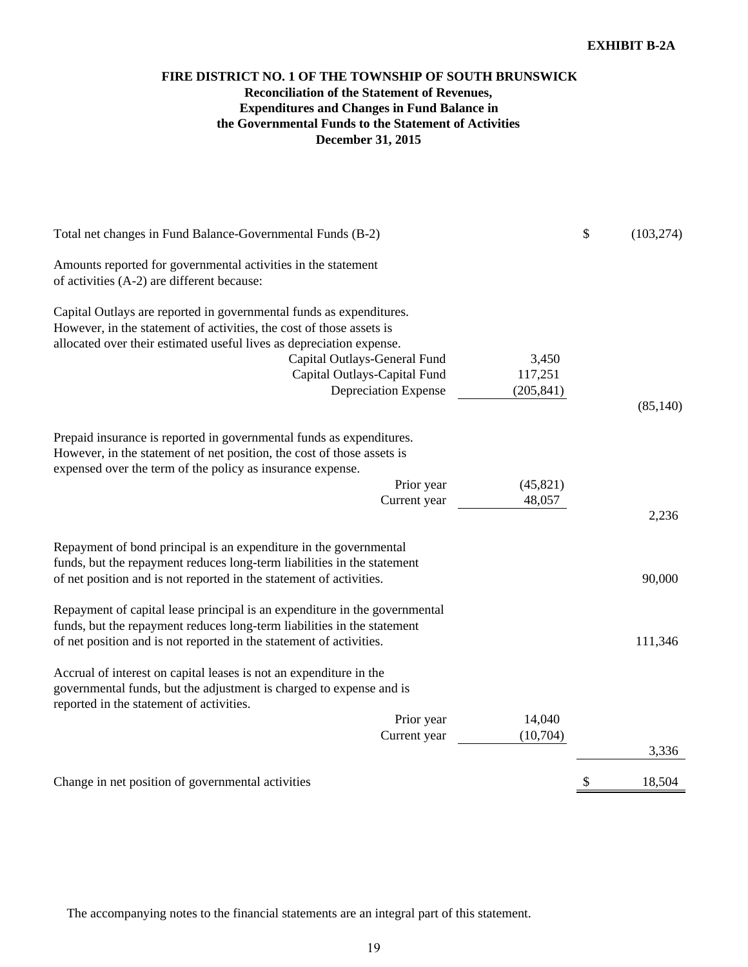# **December 31, 2015 FIRE DISTRICT NO. 1 OF THE TOWNSHIP OF SOUTH BRUNSWICK Reconciliation of the Statement of Revenues, Expenditures and Changes in Fund Balance in the Governmental Funds to the Statement of Activities**

| Total net changes in Fund Balance-Governmental Funds (B-2)                                                                                                                                                                                                                                                  |                                | \$<br>(103, 274) |
|-------------------------------------------------------------------------------------------------------------------------------------------------------------------------------------------------------------------------------------------------------------------------------------------------------------|--------------------------------|------------------|
| Amounts reported for governmental activities in the statement<br>of activities (A-2) are different because:                                                                                                                                                                                                 |                                |                  |
| Capital Outlays are reported in governmental funds as expenditures.<br>However, in the statement of activities, the cost of those assets is<br>allocated over their estimated useful lives as depreciation expense.<br>Capital Outlays-General Fund<br>Capital Outlays-Capital Fund<br>Depreciation Expense | 3,450<br>117,251<br>(205, 841) | (85, 140)        |
| Prepaid insurance is reported in governmental funds as expenditures.<br>However, in the statement of net position, the cost of those assets is<br>expensed over the term of the policy as insurance expense.<br>Prior year<br>Current year                                                                  | (45, 821)<br>48,057            | 2,236            |
| Repayment of bond principal is an expenditure in the governmental<br>funds, but the repayment reduces long-term liabilities in the statement<br>of net position and is not reported in the statement of activities.                                                                                         |                                | 90,000           |
| Repayment of capital lease principal is an expenditure in the governmental<br>funds, but the repayment reduces long-term liabilities in the statement<br>of net position and is not reported in the statement of activities.                                                                                |                                | 111,346          |
| Accrual of interest on capital leases is not an expenditure in the<br>governmental funds, but the adjustment is charged to expense and is<br>reported in the statement of activities.                                                                                                                       |                                |                  |
| Prior year<br>Current year                                                                                                                                                                                                                                                                                  | 14,040<br>(10,704)             | 3,336            |
| Change in net position of governmental activities                                                                                                                                                                                                                                                           |                                | \$<br>18,504     |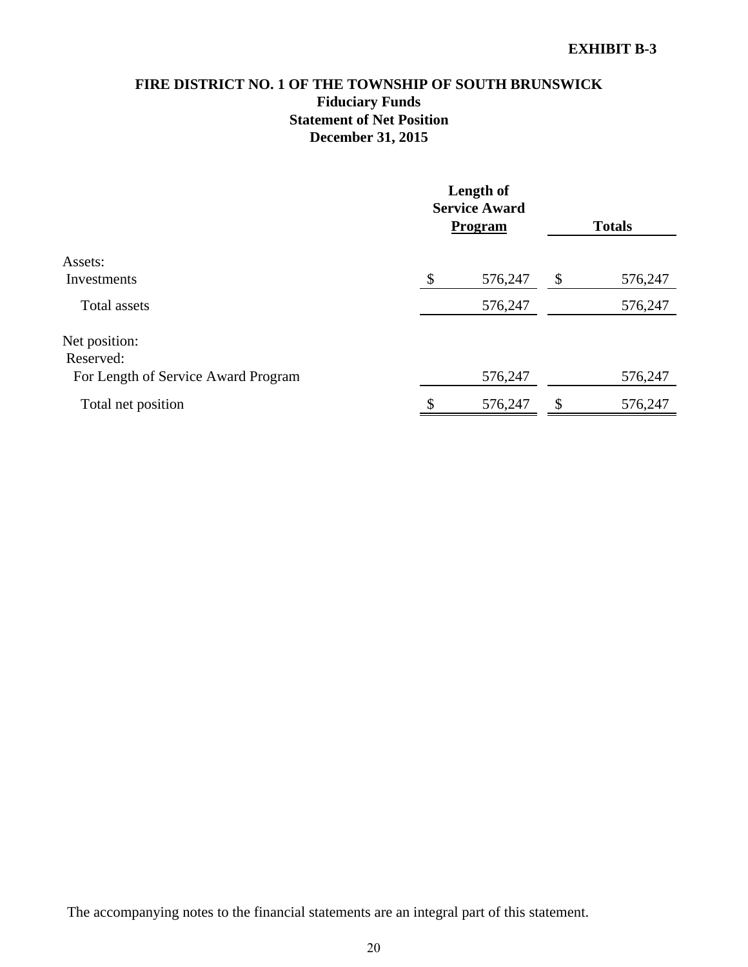# **FIRE DISTRICT NO. 1 OF THE TOWNSHIP OF SOUTH BRUNSWICK Fiduciary Funds Statement of Net Position December 31, 2015**

|                                     | Length of<br><b>Service Award</b><br><b>Program</b> | <b>Totals</b> |         |  |
|-------------------------------------|-----------------------------------------------------|---------------|---------|--|
| Assets:                             |                                                     |               |         |  |
| Investments                         | \$<br>576,247                                       | \$            | 576,247 |  |
| Total assets                        | 576,247                                             |               | 576,247 |  |
| Net position:                       |                                                     |               |         |  |
| Reserved:                           |                                                     |               |         |  |
| For Length of Service Award Program | 576,247                                             |               | 576,247 |  |
| Total net position                  | 576,247                                             | \$            | 576,247 |  |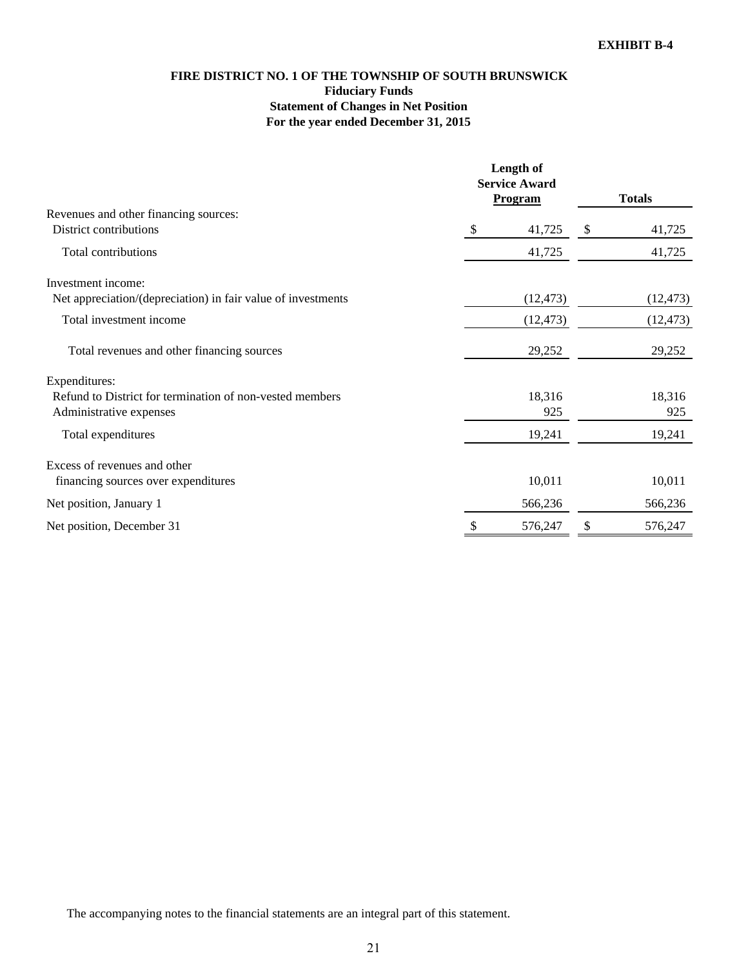# **FIRE DISTRICT NO. 1 OF THE TOWNSHIP OF SOUTH BRUNSWICK Fiduciary Funds Statement of Changes in Net Position For the year ended December 31, 2015**

|                                                              | Length of<br><b>Service Award</b> | <b>Totals</b> |           |  |
|--------------------------------------------------------------|-----------------------------------|---------------|-----------|--|
| Revenues and other financing sources:                        | <b>Program</b>                    |               |           |  |
| District contributions                                       | \$<br>41,725                      | <sup>\$</sup> | 41,725    |  |
| Total contributions                                          | 41,725                            |               | 41,725    |  |
| Investment income:                                           |                                   |               |           |  |
| Net appreciation/(depreciation) in fair value of investments | (12, 473)                         |               | (12, 473) |  |
| Total investment income                                      | (12, 473)                         |               | (12, 473) |  |
| Total revenues and other financing sources                   | 29,252                            |               | 29,252    |  |
| Expenditures:                                                |                                   |               |           |  |
| Refund to District for termination of non-vested members     | 18,316                            |               | 18,316    |  |
| Administrative expenses                                      | 925                               |               | 925       |  |
| Total expenditures                                           | 19,241                            |               | 19,241    |  |
| Excess of revenues and other                                 |                                   |               |           |  |
| financing sources over expenditures                          | 10,011                            |               | 10,011    |  |
| Net position, January 1                                      | 566,236                           |               | 566,236   |  |
| Net position, December 31                                    | \$<br>576,247                     |               | 576,247   |  |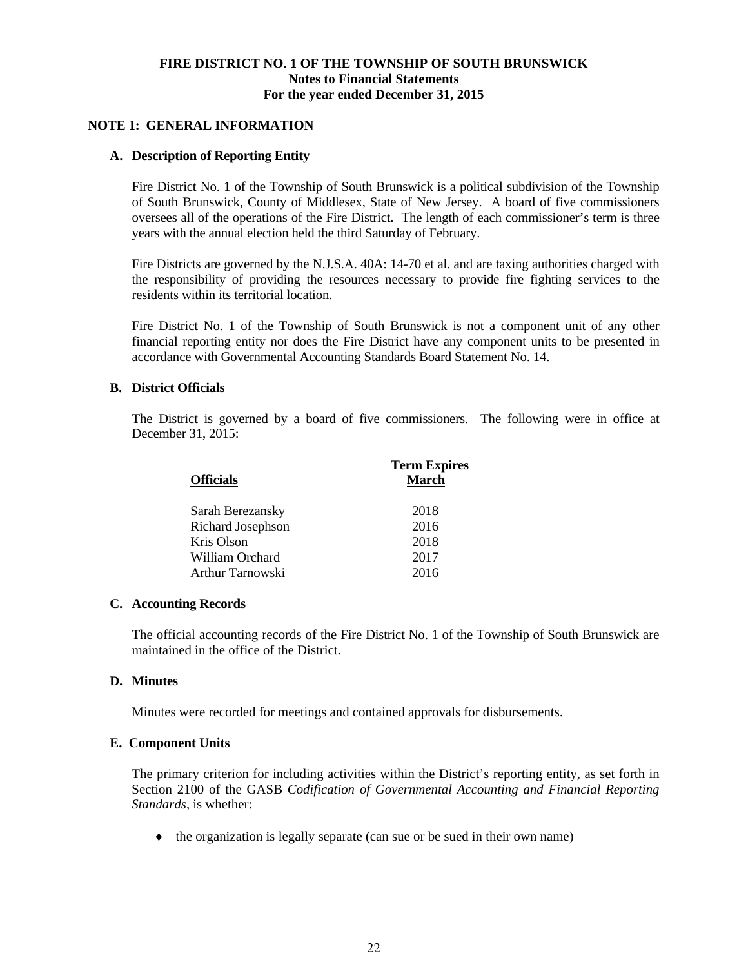#### **NOTE 1: GENERAL INFORMATION**

#### **A. Description of Reporting Entity**

Fire District No. 1 of the Township of South Brunswick is a political subdivision of the Township of South Brunswick, County of Middlesex, State of New Jersey. A board of five commissioners oversees all of the operations of the Fire District. The length of each commissioner's term is three years with the annual election held the third Saturday of February.

Fire Districts are governed by the N.J.S.A. 40A: 14-70 et al. and are taxing authorities charged with the responsibility of providing the resources necessary to provide fire fighting services to the residents within its territorial location.

Fire District No. 1 of the Township of South Brunswick is not a component unit of any other financial reporting entity nor does the Fire District have any component units to be presented in accordance with Governmental Accounting Standards Board Statement No. 14.

#### **B. District Officials**

The District is governed by a board of five commissioners. The following were in office at December 31, 2015:

| <b>Officials</b>  | <b>Term Expires</b><br><b>March</b> |
|-------------------|-------------------------------------|
| Sarah Berezansky  | 2018                                |
| Richard Josephson | 2016                                |
| Kris Olson        | 2018                                |
| William Orchard   | 2017                                |
| Arthur Tarnowski  | 2016                                |

# **C. Accounting Records**

The official accounting records of the Fire District No. 1 of the Township of South Brunswick are maintained in the office of the District.

# **D. Minutes**

Minutes were recorded for meetings and contained approvals for disbursements.

# **E. Component Units**

The primary criterion for including activities within the District's reporting entity, as set forth in Section 2100 of the GASB *Codification of Governmental Accounting and Financial Reporting Standards*, is whether:

 $\bullet$  the organization is legally separate (can sue or be sued in their own name)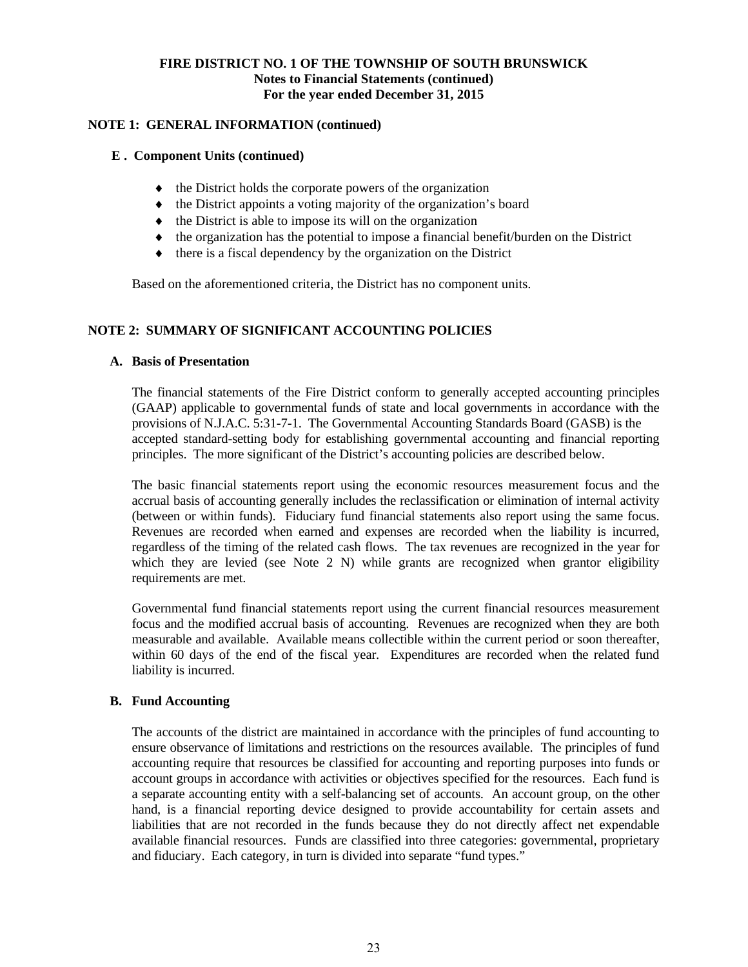# **NOTE 1: GENERAL INFORMATION (continued)**

#### **E . Component Units (continued)**

- $\bullet$  the District holds the corporate powers of the organization
- $\bullet$  the District appoints a voting majority of the organization's board
- $\bullet$  the District is able to impose its will on the organization
- $\bullet$  the organization has the potential to impose a financial benefit/burden on the District
- there is a fiscal dependency by the organization on the District

Based on the aforementioned criteria, the District has no component units.

#### **NOTE 2: SUMMARY OF SIGNIFICANT ACCOUNTING POLICIES**

#### **A. Basis of Presentation**

 The financial statements of the Fire District conform to generally accepted accounting principles (GAAP) applicable to governmental funds of state and local governments in accordance with the provisions of N.J.A.C. 5:31-7-1. The Governmental Accounting Standards Board (GASB) is the accepted standard-setting body for establishing governmental accounting and financial reporting principles. The more significant of the District's accounting policies are described below.

 The basic financial statements report using the economic resources measurement focus and the accrual basis of accounting generally includes the reclassification or elimination of internal activity (between or within funds). Fiduciary fund financial statements also report using the same focus. Revenues are recorded when earned and expenses are recorded when the liability is incurred, regardless of the timing of the related cash flows. The tax revenues are recognized in the year for which they are levied (see Note 2 N) while grants are recognized when grantor eligibility requirements are met.

 Governmental fund financial statements report using the current financial resources measurement focus and the modified accrual basis of accounting. Revenues are recognized when they are both measurable and available. Available means collectible within the current period or soon thereafter, within 60 days of the end of the fiscal year. Expenditures are recorded when the related fund liability is incurred.

#### **B. Fund Accounting**

The accounts of the district are maintained in accordance with the principles of fund accounting to ensure observance of limitations and restrictions on the resources available. The principles of fund accounting require that resources be classified for accounting and reporting purposes into funds or account groups in accordance with activities or objectives specified for the resources. Each fund is a separate accounting entity with a self-balancing set of accounts. An account group, on the other hand, is a financial reporting device designed to provide accountability for certain assets and liabilities that are not recorded in the funds because they do not directly affect net expendable available financial resources. Funds are classified into three categories: governmental, proprietary and fiduciary. Each category, in turn is divided into separate "fund types."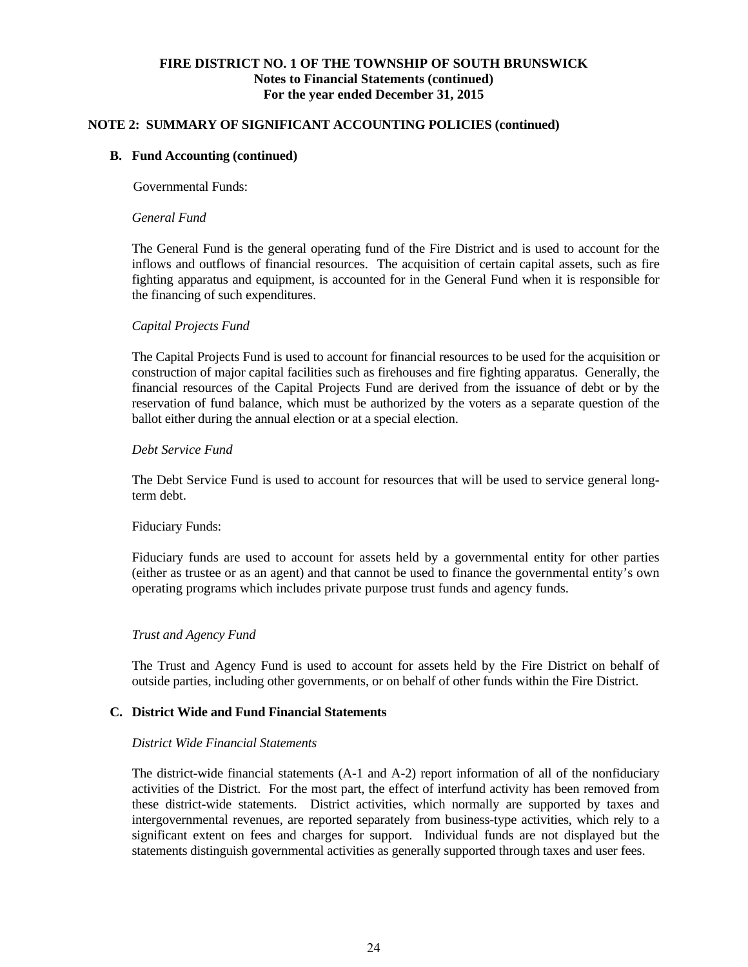#### **NOTE 2: SUMMARY OF SIGNIFICANT ACCOUNTING POLICIES (continued)**

#### **B. Fund Accounting (continued)**

Governmental Funds:

#### *General Fund*

The General Fund is the general operating fund of the Fire District and is used to account for the inflows and outflows of financial resources. The acquisition of certain capital assets, such as fire fighting apparatus and equipment, is accounted for in the General Fund when it is responsible for the financing of such expenditures.

#### *Capital Projects Fund*

The Capital Projects Fund is used to account for financial resources to be used for the acquisition or construction of major capital facilities such as firehouses and fire fighting apparatus. Generally, the financial resources of the Capital Projects Fund are derived from the issuance of debt or by the reservation of fund balance, which must be authorized by the voters as a separate question of the ballot either during the annual election or at a special election.

#### *Debt Service Fund*

The Debt Service Fund is used to account for resources that will be used to service general longterm debt.

#### Fiduciary Funds:

Fiduciary funds are used to account for assets held by a governmental entity for other parties (either as trustee or as an agent) and that cannot be used to finance the governmental entity's own operating programs which includes private purpose trust funds and agency funds.

#### *Trust and Agency Fund*

The Trust and Agency Fund is used to account for assets held by the Fire District on behalf of outside parties, including other governments, or on behalf of other funds within the Fire District.

# **C. District Wide and Fund Financial Statements**

#### *District Wide Financial Statements*

The district-wide financial statements (A-1 and A-2) report information of all of the nonfiduciary activities of the District. For the most part, the effect of interfund activity has been removed from these district-wide statements. District activities, which normally are supported by taxes and intergovernmental revenues, are reported separately from business-type activities, which rely to a significant extent on fees and charges for support. Individual funds are not displayed but the statements distinguish governmental activities as generally supported through taxes and user fees.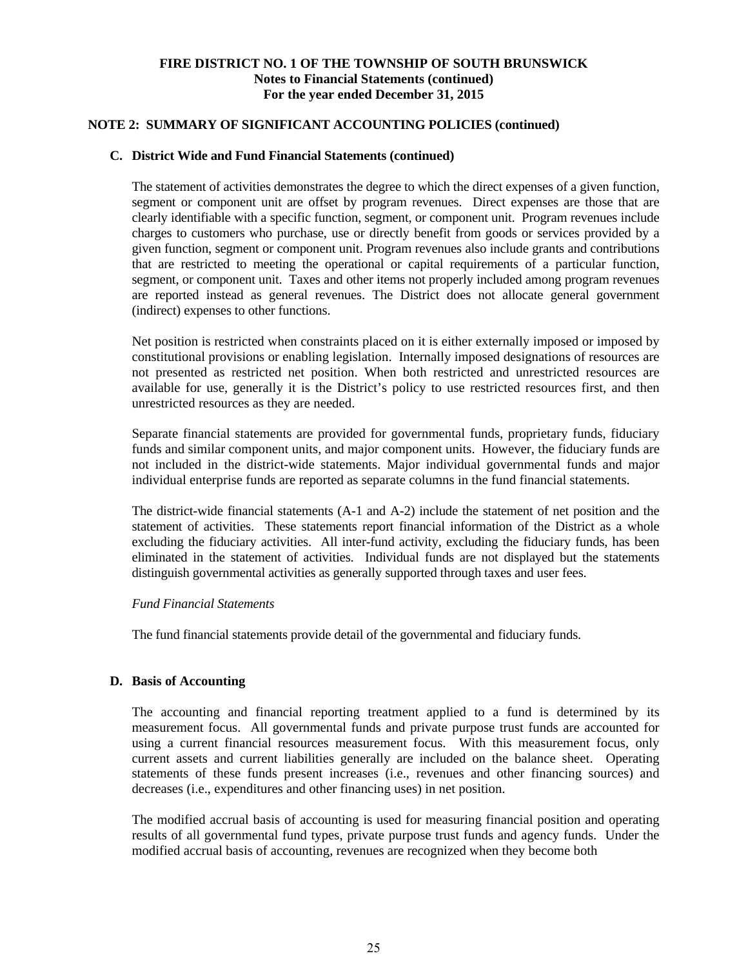# **NOTE 2: SUMMARY OF SIGNIFICANT ACCOUNTING POLICIES (continued)**

### **C. District Wide and Fund Financial Statements (continued)**

The statement of activities demonstrates the degree to which the direct expenses of a given function, segment or component unit are offset by program revenues. Direct expenses are those that are clearly identifiable with a specific function, segment, or component unit. Program revenues include charges to customers who purchase, use or directly benefit from goods or services provided by a given function, segment or component unit. Program revenues also include grants and contributions that are restricted to meeting the operational or capital requirements of a particular function, segment, or component unit. Taxes and other items not properly included among program revenues are reported instead as general revenues. The District does not allocate general government (indirect) expenses to other functions.

Net position is restricted when constraints placed on it is either externally imposed or imposed by constitutional provisions or enabling legislation. Internally imposed designations of resources are not presented as restricted net position. When both restricted and unrestricted resources are available for use, generally it is the District's policy to use restricted resources first, and then unrestricted resources as they are needed.

Separate financial statements are provided for governmental funds, proprietary funds, fiduciary funds and similar component units, and major component units. However, the fiduciary funds are not included in the district-wide statements. Major individual governmental funds and major individual enterprise funds are reported as separate columns in the fund financial statements.

The district-wide financial statements (A-1 and A-2) include the statement of net position and the statement of activities. These statements report financial information of the District as a whole excluding the fiduciary activities. All inter-fund activity, excluding the fiduciary funds, has been eliminated in the statement of activities. Individual funds are not displayed but the statements distinguish governmental activities as generally supported through taxes and user fees.

# *Fund Financial Statements*

The fund financial statements provide detail of the governmental and fiduciary funds.

# **D. Basis of Accounting**

The accounting and financial reporting treatment applied to a fund is determined by its measurement focus. All governmental funds and private purpose trust funds are accounted for using a current financial resources measurement focus. With this measurement focus, only current assets and current liabilities generally are included on the balance sheet. Operating statements of these funds present increases (i.e., revenues and other financing sources) and decreases (i.e., expenditures and other financing uses) in net position.

The modified accrual basis of accounting is used for measuring financial position and operating results of all governmental fund types, private purpose trust funds and agency funds. Under the modified accrual basis of accounting, revenues are recognized when they become both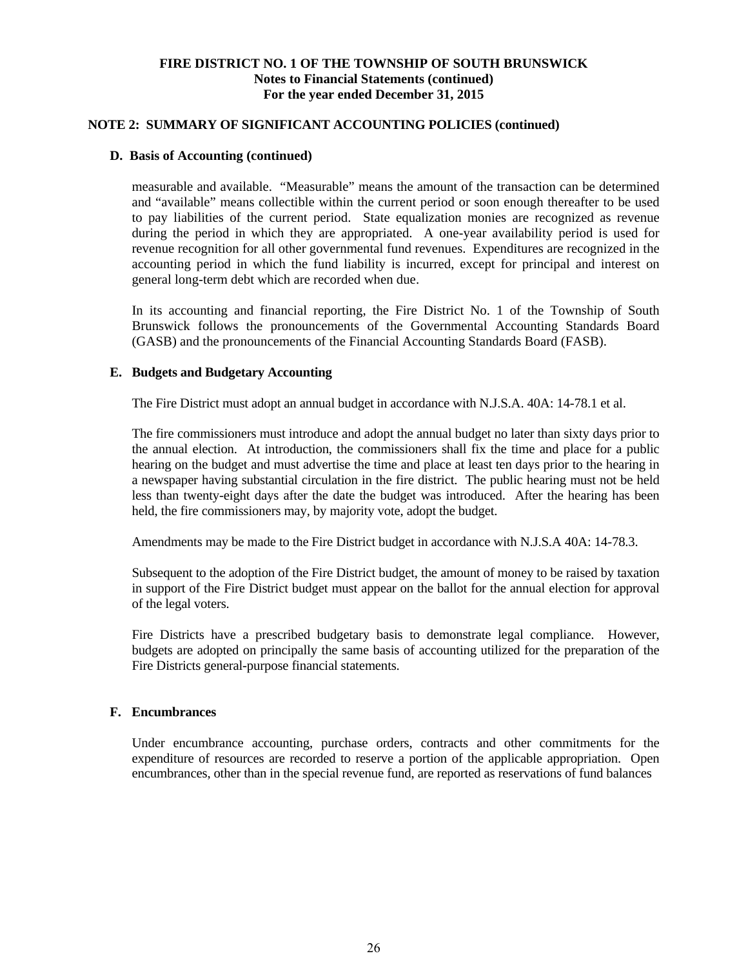#### **NOTE 2: SUMMARY OF SIGNIFICANT ACCOUNTING POLICIES (continued)**

#### **D. Basis of Accounting (continued)**

measurable and available. "Measurable" means the amount of the transaction can be determined and "available" means collectible within the current period or soon enough thereafter to be used to pay liabilities of the current period. State equalization monies are recognized as revenue during the period in which they are appropriated. A one-year availability period is used for revenue recognition for all other governmental fund revenues. Expenditures are recognized in the accounting period in which the fund liability is incurred, except for principal and interest on general long-term debt which are recorded when due.

In its accounting and financial reporting, the Fire District No. 1 of the Township of South Brunswick follows the pronouncements of the Governmental Accounting Standards Board (GASB) and the pronouncements of the Financial Accounting Standards Board (FASB).

#### **E. Budgets and Budgetary Accounting**

The Fire District must adopt an annual budget in accordance with N.J.S.A. 40A: 14-78.1 et al.

The fire commissioners must introduce and adopt the annual budget no later than sixty days prior to the annual election. At introduction, the commissioners shall fix the time and place for a public hearing on the budget and must advertise the time and place at least ten days prior to the hearing in a newspaper having substantial circulation in the fire district. The public hearing must not be held less than twenty-eight days after the date the budget was introduced. After the hearing has been held, the fire commissioners may, by majority vote, adopt the budget.

Amendments may be made to the Fire District budget in accordance with N.J.S.A 40A: 14-78.3.

Subsequent to the adoption of the Fire District budget, the amount of money to be raised by taxation in support of the Fire District budget must appear on the ballot for the annual election for approval of the legal voters.

Fire Districts have a prescribed budgetary basis to demonstrate legal compliance. However, budgets are adopted on principally the same basis of accounting utilized for the preparation of the Fire Districts general-purpose financial statements.

# **F. Encumbrances**

 Under encumbrance accounting, purchase orders, contracts and other commitments for the expenditure of resources are recorded to reserve a portion of the applicable appropriation. Open encumbrances, other than in the special revenue fund, are reported as reservations of fund balances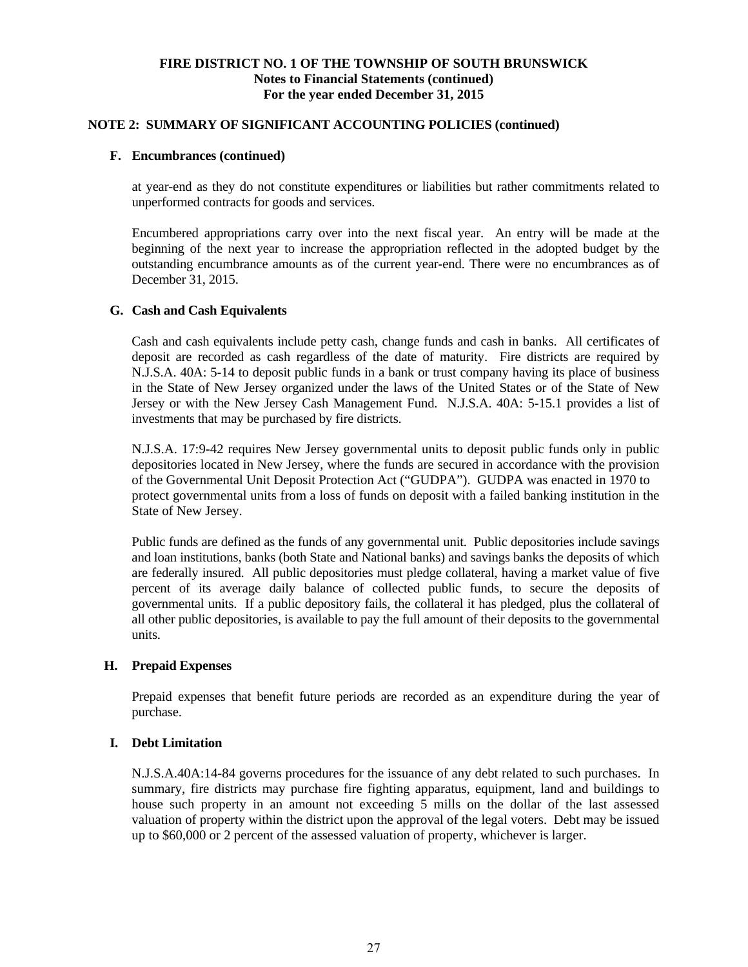#### **NOTE 2: SUMMARY OF SIGNIFICANT ACCOUNTING POLICIES (continued)**

#### **F. Encumbrances (continued)**

 at year-end as they do not constitute expenditures or liabilities but rather commitments related to unperformed contracts for goods and services.

 Encumbered appropriations carry over into the next fiscal year. An entry will be made at the beginning of the next year to increase the appropriation reflected in the adopted budget by the outstanding encumbrance amounts as of the current year-end. There were no encumbrances as of December 31, 2015.

#### **G. Cash and Cash Equivalents**

 Cash and cash equivalents include petty cash, change funds and cash in banks. All certificates of deposit are recorded as cash regardless of the date of maturity. Fire districts are required by N.J.S.A. 40A: 5-14 to deposit public funds in a bank or trust company having its place of business in the State of New Jersey organized under the laws of the United States or of the State of New Jersey or with the New Jersey Cash Management Fund. N.J.S.A. 40A: 5-15.1 provides a list of investments that may be purchased by fire districts.

 N.J.S.A. 17:9-42 requires New Jersey governmental units to deposit public funds only in public depositories located in New Jersey, where the funds are secured in accordance with the provision of the Governmental Unit Deposit Protection Act ("GUDPA"). GUDPA was enacted in 1970 to protect governmental units from a loss of funds on deposit with a failed banking institution in the State of New Jersey.

Public funds are defined as the funds of any governmental unit. Public depositories include savings and loan institutions, banks (both State and National banks) and savings banks the deposits of which are federally insured. All public depositories must pledge collateral, having a market value of five percent of its average daily balance of collected public funds, to secure the deposits of governmental units. If a public depository fails, the collateral it has pledged, plus the collateral of all other public depositories, is available to pay the full amount of their deposits to the governmental units.

#### **H. Prepaid Expenses**

Prepaid expenses that benefit future periods are recorded as an expenditure during the year of purchase.

# **I. Debt Limitation**

N.J.S.A.40A:14-84 governs procedures for the issuance of any debt related to such purchases. In summary, fire districts may purchase fire fighting apparatus, equipment, land and buildings to house such property in an amount not exceeding 5 mills on the dollar of the last assessed valuation of property within the district upon the approval of the legal voters. Debt may be issued up to \$60,000 or 2 percent of the assessed valuation of property, whichever is larger.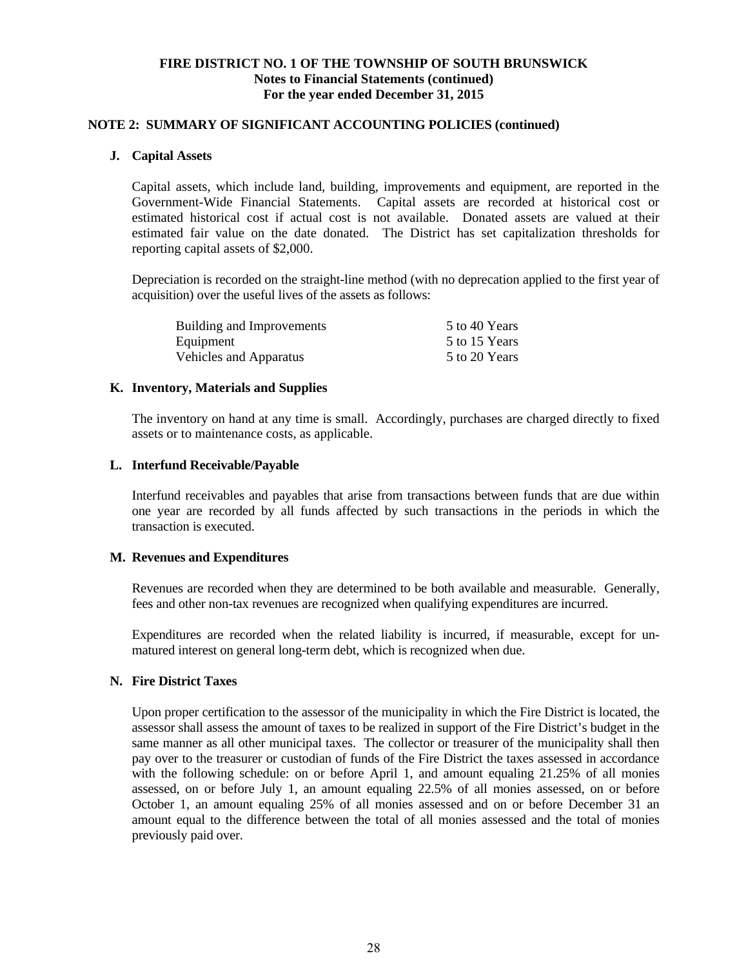#### **NOTE 2: SUMMARY OF SIGNIFICANT ACCOUNTING POLICIES (continued)**

#### **J. Capital Assets**

Capital assets, which include land, building, improvements and equipment, are reported in the Government-Wide Financial Statements. Capital assets are recorded at historical cost or estimated historical cost if actual cost is not available. Donated assets are valued at their estimated fair value on the date donated. The District has set capitalization thresholds for reporting capital assets of \$2,000.

Depreciation is recorded on the straight-line method (with no deprecation applied to the first year of acquisition) over the useful lives of the assets as follows:

| Building and Improvements | 5 to 40 Years |
|---------------------------|---------------|
| Equipment                 | 5 to 15 Years |
| Vehicles and Apparatus    | 5 to 20 Years |

#### **K. Inventory, Materials and Supplies**

The inventory on hand at any time is small. Accordingly, purchases are charged directly to fixed assets or to maintenance costs, as applicable.

#### **L. Interfund Receivable/Payable**

Interfund receivables and payables that arise from transactions between funds that are due within one year are recorded by all funds affected by such transactions in the periods in which the transaction is executed.

#### **M. Revenues and Expenditures**

Revenues are recorded when they are determined to be both available and measurable. Generally, fees and other non-tax revenues are recognized when qualifying expenditures are incurred.

Expenditures are recorded when the related liability is incurred, if measurable, except for unmatured interest on general long-term debt, which is recognized when due.

#### **N. Fire District Taxes**

Upon proper certification to the assessor of the municipality in which the Fire District is located, the assessor shall assess the amount of taxes to be realized in support of the Fire District's budget in the same manner as all other municipal taxes. The collector or treasurer of the municipality shall then pay over to the treasurer or custodian of funds of the Fire District the taxes assessed in accordance with the following schedule: on or before April 1, and amount equaling 21.25% of all monies assessed, on or before July 1, an amount equaling 22.5% of all monies assessed, on or before October 1, an amount equaling 25% of all monies assessed and on or before December 31 an amount equal to the difference between the total of all monies assessed and the total of monies previously paid over.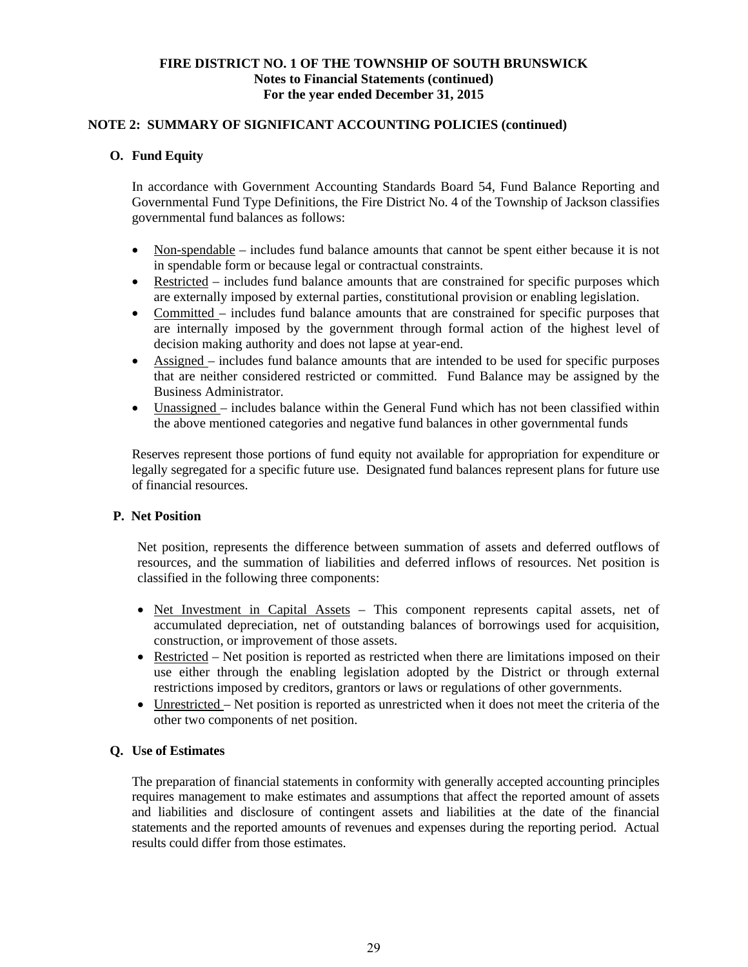### **NOTE 2: SUMMARY OF SIGNIFICANT ACCOUNTING POLICIES (continued)**

# **O. Fund Equity**

In accordance with Government Accounting Standards Board 54, Fund Balance Reporting and Governmental Fund Type Definitions, the Fire District No. 4 of the Township of Jackson classifies governmental fund balances as follows:

- Non-spendable includes fund balance amounts that cannot be spent either because it is not in spendable form or because legal or contractual constraints.
- Restricted includes fund balance amounts that are constrained for specific purposes which are externally imposed by external parties, constitutional provision or enabling legislation.
- Committed includes fund balance amounts that are constrained for specific purposes that are internally imposed by the government through formal action of the highest level of decision making authority and does not lapse at year-end.
- Assigned includes fund balance amounts that are intended to be used for specific purposes that are neither considered restricted or committed. Fund Balance may be assigned by the Business Administrator.
- Unassigned includes balance within the General Fund which has not been classified within the above mentioned categories and negative fund balances in other governmental funds

Reserves represent those portions of fund equity not available for appropriation for expenditure or legally segregated for a specific future use. Designated fund balances represent plans for future use of financial resources.

# **P. Net Position**

Net position, represents the difference between summation of assets and deferred outflows of resources, and the summation of liabilities and deferred inflows of resources. Net position is classified in the following three components:

- Net Investment in Capital Assets This component represents capital assets, net of accumulated depreciation, net of outstanding balances of borrowings used for acquisition, construction, or improvement of those assets.
- Restricted Net position is reported as restricted when there are limitations imposed on their use either through the enabling legislation adopted by the District or through external restrictions imposed by creditors, grantors or laws or regulations of other governments.
- Unrestricted Net position is reported as unrestricted when it does not meet the criteria of the other two components of net position.

#### **Q. Use of Estimates**

The preparation of financial statements in conformity with generally accepted accounting principles requires management to make estimates and assumptions that affect the reported amount of assets and liabilities and disclosure of contingent assets and liabilities at the date of the financial statements and the reported amounts of revenues and expenses during the reporting period. Actual results could differ from those estimates.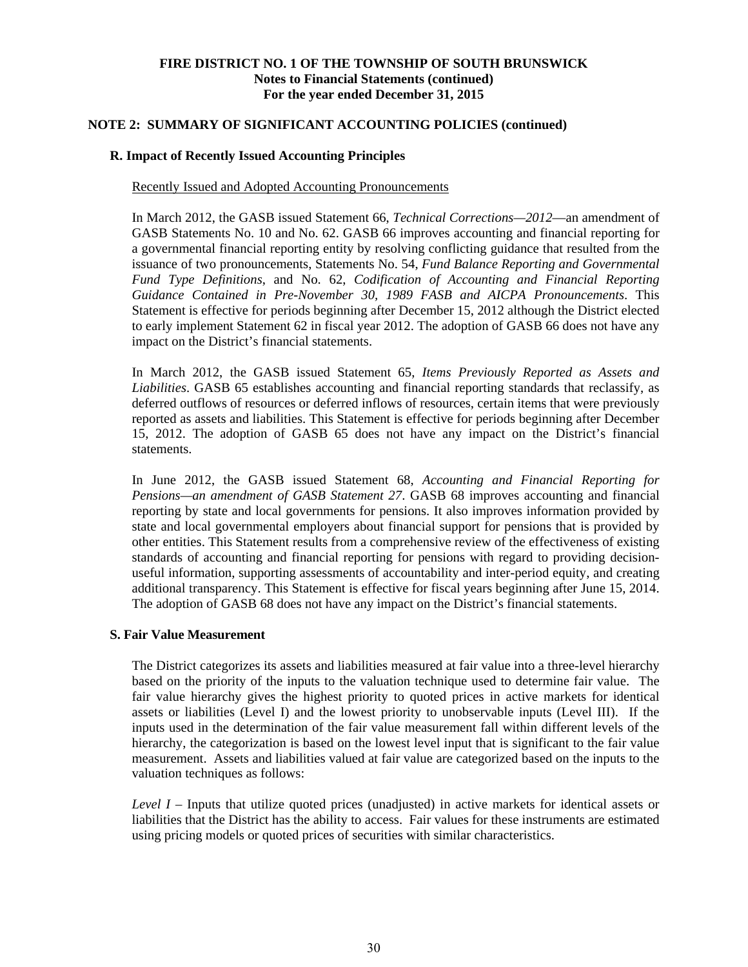#### **NOTE 2: SUMMARY OF SIGNIFICANT ACCOUNTING POLICIES (continued)**

#### **R. Impact of Recently Issued Accounting Principles**

#### Recently Issued and Adopted Accounting Pronouncements

In March 2012, the GASB issued Statement 66, *Technical Corrections—2012*—an amendment of GASB Statements No. 10 and No. 62. GASB 66 improves accounting and financial reporting for a governmental financial reporting entity by resolving conflicting guidance that resulted from the issuance of two pronouncements, Statements No. 54, *Fund Balance Reporting and Governmental Fund Type Definitions*, and No. 62, *Codification of Accounting and Financial Reporting Guidance Contained in Pre-November 30, 1989 FASB and AICPA Pronouncements*. This Statement is effective for periods beginning after December 15, 2012 although the District elected to early implement Statement 62 in fiscal year 2012. The adoption of GASB 66 does not have any impact on the District's financial statements.

In March 2012, the GASB issued Statement 65, *Items Previously Reported as Assets and Liabilities*. GASB 65 establishes accounting and financial reporting standards that reclassify, as deferred outflows of resources or deferred inflows of resources, certain items that were previously reported as assets and liabilities. This Statement is effective for periods beginning after December 15, 2012. The adoption of GASB 65 does not have any impact on the District's financial statements.

In June 2012, the GASB issued Statement 68, *Accounting and Financial Reporting for Pensions—an amendment of GASB Statement 27*. GASB 68 improves accounting and financial reporting by state and local governments for pensions. It also improves information provided by state and local governmental employers about financial support for pensions that is provided by other entities. This Statement results from a comprehensive review of the effectiveness of existing standards of accounting and financial reporting for pensions with regard to providing decisionuseful information, supporting assessments of accountability and inter-period equity, and creating additional transparency. This Statement is effective for fiscal years beginning after June 15, 2014. The adoption of GASB 68 does not have any impact on the District's financial statements.

#### **S. Fair Value Measurement**

The District categorizes its assets and liabilities measured at fair value into a three-level hierarchy based on the priority of the inputs to the valuation technique used to determine fair value. The fair value hierarchy gives the highest priority to quoted prices in active markets for identical assets or liabilities (Level I) and the lowest priority to unobservable inputs (Level III). If the inputs used in the determination of the fair value measurement fall within different levels of the hierarchy, the categorization is based on the lowest level input that is significant to the fair value measurement. Assets and liabilities valued at fair value are categorized based on the inputs to the valuation techniques as follows:

*Level I –* Inputs that utilize quoted prices (unadjusted) in active markets for identical assets or liabilities that the District has the ability to access. Fair values for these instruments are estimated using pricing models or quoted prices of securities with similar characteristics.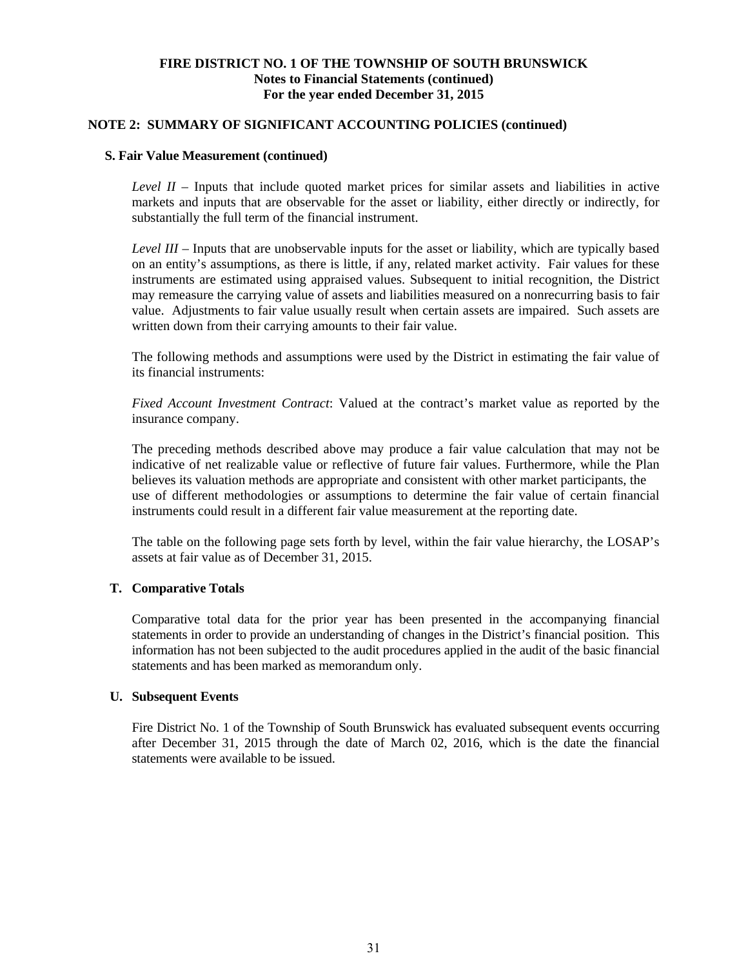#### **NOTE 2: SUMMARY OF SIGNIFICANT ACCOUNTING POLICIES (continued)**

#### **S. Fair Value Measurement (continued)**

*Level II –* Inputs that include quoted market prices for similar assets and liabilities in active markets and inputs that are observable for the asset or liability, either directly or indirectly, for substantially the full term of the financial instrument.

*Level III –* Inputs that are unobservable inputs for the asset or liability, which are typically based on an entity's assumptions, as there is little, if any, related market activity. Fair values for these instruments are estimated using appraised values. Subsequent to initial recognition, the District may remeasure the carrying value of assets and liabilities measured on a nonrecurring basis to fair value. Adjustments to fair value usually result when certain assets are impaired. Such assets are written down from their carrying amounts to their fair value.

The following methods and assumptions were used by the District in estimating the fair value of its financial instruments:

*Fixed Account Investment Contract*: Valued at the contract's market value as reported by the insurance company.

The preceding methods described above may produce a fair value calculation that may not be indicative of net realizable value or reflective of future fair values. Furthermore, while the Plan believes its valuation methods are appropriate and consistent with other market participants, the use of different methodologies or assumptions to determine the fair value of certain financial instruments could result in a different fair value measurement at the reporting date.

The table on the following page sets forth by level, within the fair value hierarchy, the LOSAP's assets at fair value as of December 31, 2015.

# **T. Comparative Totals**

Comparative total data for the prior year has been presented in the accompanying financial statements in order to provide an understanding of changes in the District's financial position. This information has not been subjected to the audit procedures applied in the audit of the basic financial statements and has been marked as memorandum only.

#### **U. Subsequent Events**

Fire District No. 1 of the Township of South Brunswick has evaluated subsequent events occurring after December 31, 2015 through the date of March 02, 2016, which is the date the financial statements were available to be issued.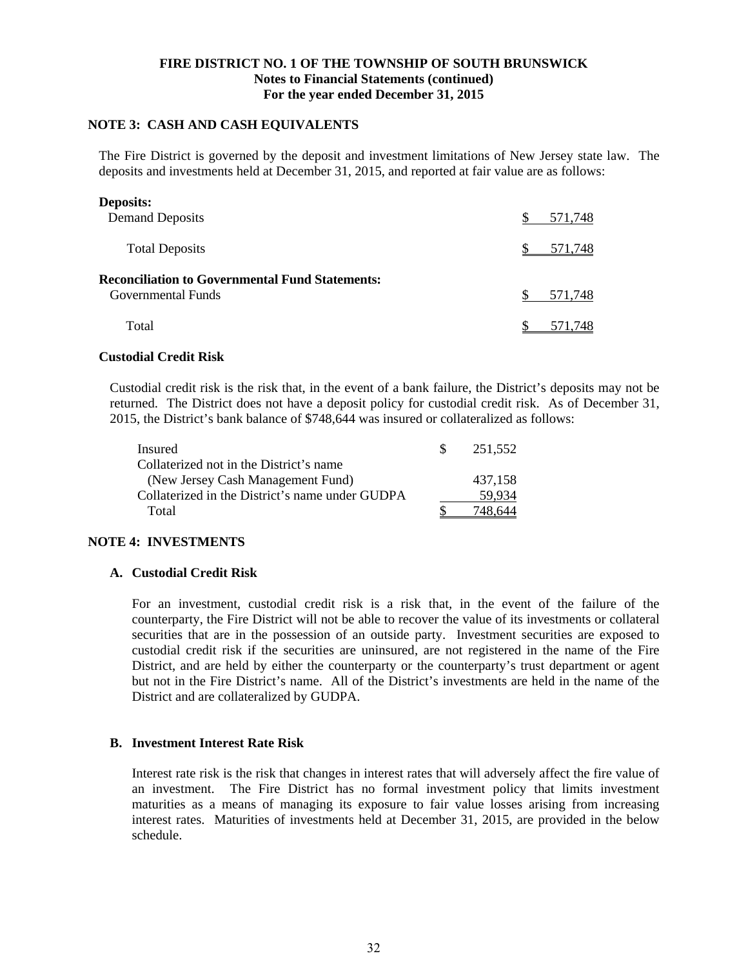# **NOTE 3: CASH AND CASH EQUIVALENTS**

The Fire District is governed by the deposit and investment limitations of New Jersey state law. The deposits and investments held at December 31, 2015, and reported at fair value are as follows:

| <b>Deposits:</b>                                       |               |
|--------------------------------------------------------|---------------|
| <b>Demand Deposits</b>                                 | S<br>571,748  |
| <b>Total Deposits</b>                                  | 571.748       |
| <b>Reconciliation to Governmental Fund Statements:</b> |               |
| Governmental Funds                                     | S.<br>571,748 |
| Total                                                  |               |

#### **Custodial Credit Risk**

Custodial credit risk is the risk that, in the event of a bank failure, the District's deposits may not be returned. The District does not have a deposit policy for custodial credit risk. As of December 31, 2015, the District's bank balance of \$748,644 was insured or collateralized as follows:

| Insured                                         | 251,552 |
|-------------------------------------------------|---------|
| Collaterized not in the District's name         |         |
| (New Jersey Cash Management Fund)               | 437.158 |
| Collaterized in the District's name under GUDPA | 59.934  |
| Total                                           |         |

# **NOTE 4: INVESTMENTS**

# **A. Custodial Credit Risk**

For an investment, custodial credit risk is a risk that, in the event of the failure of the counterparty, the Fire District will not be able to recover the value of its investments or collateral securities that are in the possession of an outside party. Investment securities are exposed to custodial credit risk if the securities are uninsured, are not registered in the name of the Fire District, and are held by either the counterparty or the counterparty's trust department or agent but not in the Fire District's name. All of the District's investments are held in the name of the District and are collateralized by GUDPA.

# **B. Investment Interest Rate Risk**

Interest rate risk is the risk that changes in interest rates that will adversely affect the fire value of an investment. The Fire District has no formal investment policy that limits investment maturities as a means of managing its exposure to fair value losses arising from increasing interest rates. Maturities of investments held at December 31, 2015, are provided in the below schedule.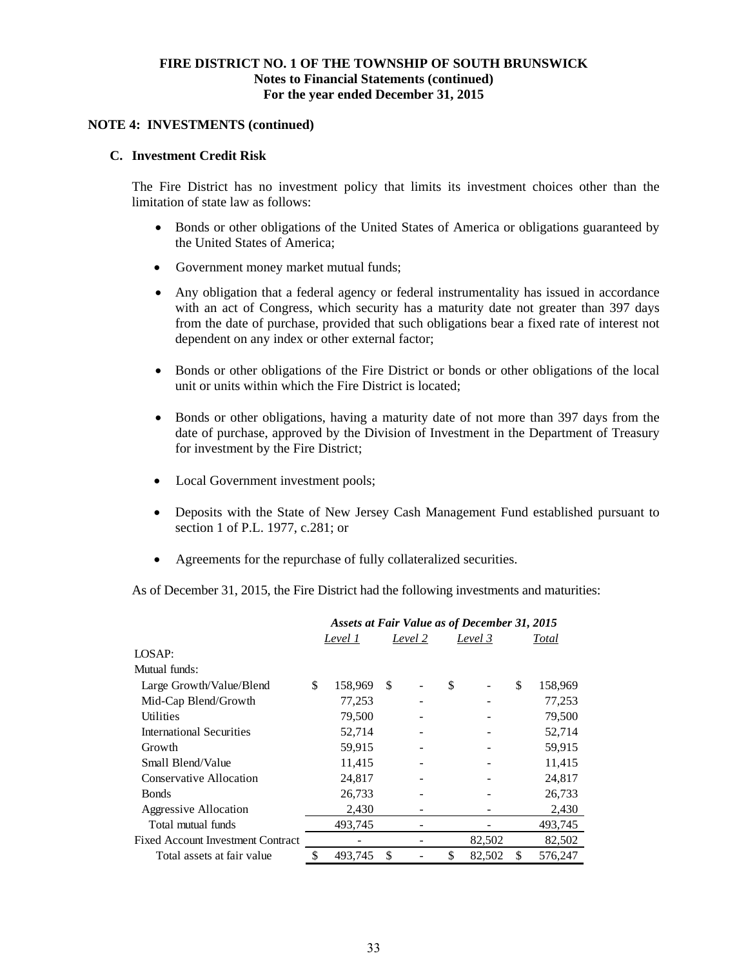#### **NOTE 4: INVESTMENTS (continued)**

# **C. Investment Credit Risk**

The Fire District has no investment policy that limits its investment choices other than the limitation of state law as follows:

- Bonds or other obligations of the United States of America or obligations guaranteed by the United States of America;
- Government money market mutual funds;
- Any obligation that a federal agency or federal instrumentality has issued in accordance with an act of Congress, which security has a maturity date not greater than 397 days from the date of purchase, provided that such obligations bear a fixed rate of interest not dependent on any index or other external factor;
- Bonds or other obligations of the Fire District or bonds or other obligations of the local unit or units within which the Fire District is located;
- Bonds or other obligations, having a maturity date of not more than 397 days from the date of purchase, approved by the Division of Investment in the Department of Treasury for investment by the Fire District;
- Local Government investment pools;
- Deposits with the State of New Jersey Cash Management Fund established pursuant to section 1 of P.L. 1977, c.281; or
- Agreements for the repurchase of fully collateralized securities.

As of December 31, 2015, the Fire District had the following investments and maturities:

|                                          | Assets at Fair Value as of December 31, 2015 |         |    |         |    |         |    |         |
|------------------------------------------|----------------------------------------------|---------|----|---------|----|---------|----|---------|
|                                          |                                              | Level 1 |    | Level 2 |    | Level 3 |    | Total   |
| LOSAP:                                   |                                              |         |    |         |    |         |    |         |
| Mutual funds:                            |                                              |         |    |         |    |         |    |         |
| Large Growth/Value/Blend                 | \$                                           | 158,969 | \$ |         | \$ |         | \$ | 158,969 |
| Mid-Cap Blend/Growth                     |                                              | 77,253  |    |         |    |         |    | 77,253  |
| Utilities                                |                                              | 79,500  |    |         |    |         |    | 79,500  |
| <b>International Securities</b>          |                                              | 52,714  |    |         |    |         |    | 52,714  |
| Growth                                   |                                              | 59,915  |    |         |    |         |    | 59,915  |
| Small Blend/Value                        |                                              | 11,415  |    |         |    |         |    | 11,415  |
| <b>Conservative Allocation</b>           |                                              | 24,817  |    |         |    |         |    | 24,817  |
| <b>Bonds</b>                             |                                              | 26,733  |    |         |    |         |    | 26,733  |
| Aggressive Allocation                    |                                              | 2,430   |    |         |    |         |    | 2,430   |
| Total mutual funds                       |                                              | 493,745 |    |         |    |         |    | 493,745 |
| <b>Fixed Account Investment Contract</b> |                                              |         |    |         |    | 82,502  |    | 82,502  |
| Total assets at fair value               | \$                                           | 493,745 | \$ |         | \$ | 82,502  | \$ | 576,247 |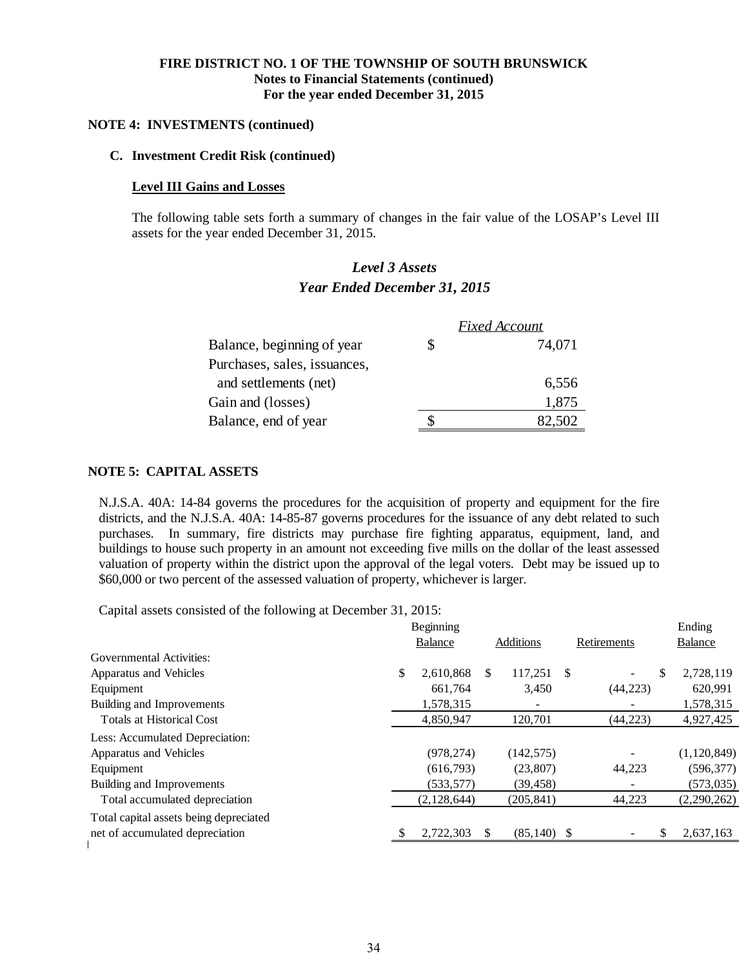#### **NOTE 4: INVESTMENTS (continued)**

#### **C. Investment Credit Risk (continued)**

#### **Level III Gains and Losses**

The following table sets forth a summary of changes in the fair value of the LOSAP's Level III assets for the year ended December 31, 2015.

# *Year Ended December 31, 2015 Level 3 Assets*

|                              | <b>Fixed Account</b> |
|------------------------------|----------------------|
| Balance, beginning of year   | 74,071               |
| Purchases, sales, issuances, |                      |
| and settlements (net)        | 6,556                |
| Gain and (losses)            | 1,875                |
| Balance, end of year         |                      |

# **NOTE 5: CAPITAL ASSETS**

N.J.S.A. 40A: 14-84 governs the procedures for the acquisition of property and equipment for the fire districts, and the N.J.S.A. 40A: 14-85-87 governs procedures for the issuance of any debt related to such purchases. In summary, fire districts may purchase fire fighting apparatus, equipment, land, and buildings to house such property in an amount not exceeding five mills on the dollar of the least assessed valuation of property within the district upon the approval of the legal voters. Debt may be issued up to \$60,000 or two percent of the assessed valuation of property, whichever is larger.

Capital assets consisted of the following at December 31, 2015:

|                                        | Beginning       |    |                  |     |                          | Ending          |
|----------------------------------------|-----------------|----|------------------|-----|--------------------------|-----------------|
|                                        | Balance         |    | <b>Additions</b> |     | Retirements              | <b>Balance</b>  |
| Governmental Activities:               |                 |    |                  |     |                          |                 |
| Apparatus and Vehicles                 | \$<br>2,610,868 | \$ | 117,251          | \$. | $\overline{\phantom{a}}$ | \$<br>2,728,119 |
| Equipment                              | 661.764         |    | 3,450            |     | (44, 223)                | 620,991         |
| Building and Improvements              | 1,578,315       |    |                  |     |                          | 1,578,315       |
| <b>Totals at Historical Cost</b>       | 4,850,947       |    | 120,701          |     | (44, 223)                | 4,927,425       |
| Less: Accumulated Depreciation:        |                 |    |                  |     |                          |                 |
| Apparatus and Vehicles                 | (978, 274)      |    | (142, 575)       |     |                          | (1,120,849)     |
| Equipment                              | (616, 793)      |    | (23, 807)        |     | 44,223                   | (596, 377)      |
| <b>Building and Improvements</b>       | (533, 577)      |    | (39, 458)        |     |                          | (573, 035)      |
| Total accumulated depreciation         | (2, 128, 644)   |    | (205, 841)       |     | 44,223                   | (2,290,262)     |
| Total capital assets being depreciated |                 |    |                  |     |                          |                 |
| net of accumulated depreciation        | 2,722,303       | S. | (85, 140)        | - S |                          | \$<br>2,637,163 |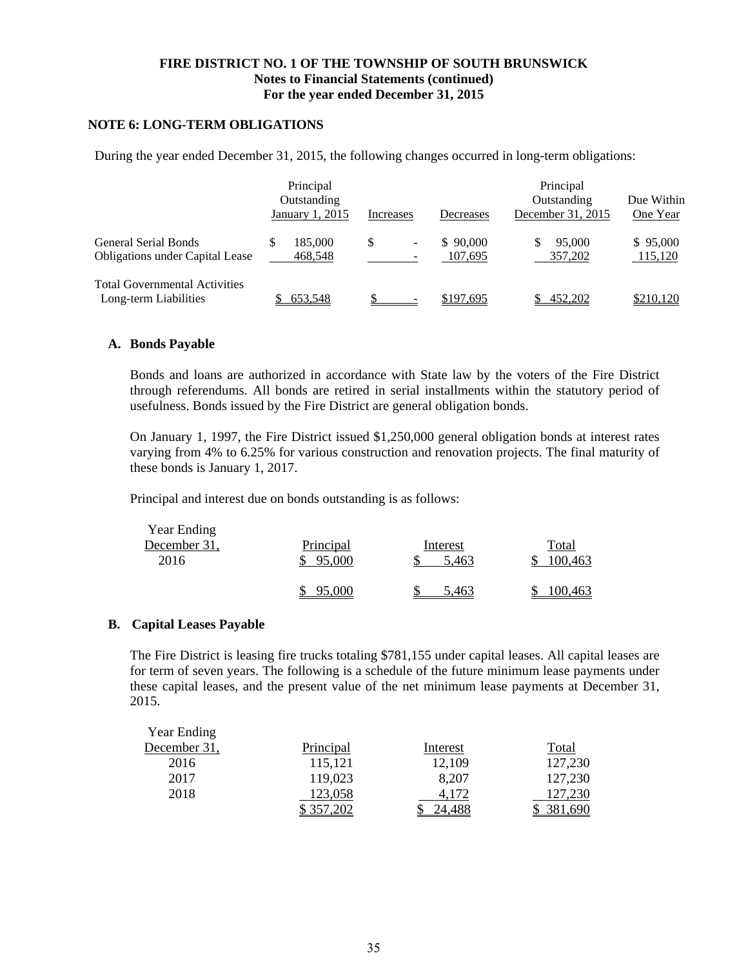# **NOTE 6: LONG-TERM OBLIGATIONS**

During the year ended December 31, 2015, the following changes occurred in long-term obligations:

|                                                                       | Principal<br>Outstanding<br>January 1, 2015 | Increases                | Decreases           | Principal<br>Outstanding<br>December 31, 2015 | Due Within<br>One Year |
|-----------------------------------------------------------------------|---------------------------------------------|--------------------------|---------------------|-----------------------------------------------|------------------------|
| <b>General Serial Bonds</b><br><b>Obligations under Capital Lease</b> | 185,000<br>468,548                          | $\overline{\phantom{0}}$ | \$90,000<br>107,695 | 95,000<br>357,202                             | \$95,000<br>115,120    |
| <b>Total Governmental Activities</b><br>Long-term Liabilities         | 653,548                                     |                          | \$197,695           | 452,202                                       | \$210,120              |

#### **A. Bonds Payable**

Bonds and loans are authorized in accordance with State law by the voters of the Fire District through referendums. All bonds are retired in serial installments within the statutory period of usefulness. Bonds issued by the Fire District are general obligation bonds.

On January 1, 1997, the Fire District issued \$1,250,000 general obligation bonds at interest rates varying from 4% to 6.25% for various construction and renovation projects. The final maturity of these bonds is January 1, 2017.

Principal and interest due on bonds outstanding is as follows:

| Year Ending  |           |          |         |
|--------------|-----------|----------|---------|
| December 31, | Principal | Interest | Total   |
| 2016         | 95,000    | 5.463    | 100,463 |
|              |           |          |         |
|              | 95.000    | 5.463    | 0.463   |

#### **B. Capital Leases Payable**

The Fire District is leasing fire trucks totaling \$781,155 under capital leases. All capital leases are for term of seven years. The following is a schedule of the future minimum lease payments under these capital leases, and the present value of the net minimum lease payments at December 31, 2015.

| Year Ending  |           |               |         |
|--------------|-----------|---------------|---------|
| December 31, | Principal | Interest      | Total   |
| 2016         | 115,121   | 12,109        | 127,230 |
| 2017         | 119,023   | 8,207         | 127,230 |
| 2018         | 123,058   | 4.172         | 127,230 |
|              | \$357,202 | <u>24,488</u> |         |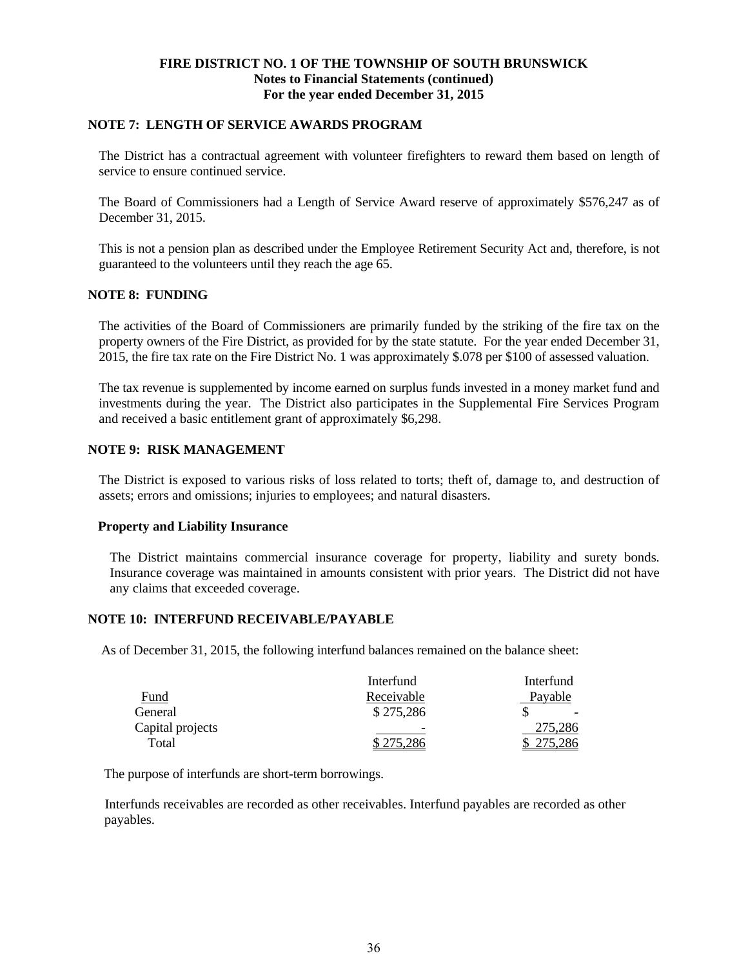# **NOTE 7: LENGTH OF SERVICE AWARDS PROGRAM**

The District has a contractual agreement with volunteer firefighters to reward them based on length of service to ensure continued service.

The Board of Commissioners had a Length of Service Award reserve of approximately \$576,247 as of December 31, 2015.

This is not a pension plan as described under the Employee Retirement Security Act and, therefore, is not guaranteed to the volunteers until they reach the age 65.

#### **NOTE 8: FUNDING**

The activities of the Board of Commissioners are primarily funded by the striking of the fire tax on the property owners of the Fire District, as provided for by the state statute. For the year ended December 31, 2015, the fire tax rate on the Fire District No. 1 was approximately \$.078 per \$100 of assessed valuation.

The tax revenue is supplemented by income earned on surplus funds invested in a money market fund and investments during the year. The District also participates in the Supplemental Fire Services Program and received a basic entitlement grant of approximately \$6,298.

#### **NOTE 9: RISK MANAGEMENT**

The District is exposed to various risks of loss related to torts; theft of, damage to, and destruction of assets; errors and omissions; injuries to employees; and natural disasters.

#### **Property and Liability Insurance**

The District maintains commercial insurance coverage for property, liability and surety bonds. Insurance coverage was maintained in amounts consistent with prior years. The District did not have any claims that exceeded coverage.

#### **NOTE 10: INTERFUND RECEIVABLE/PAYABLE**

As of December 31, 2015, the following interfund balances remained on the balance sheet:

|                  | Interfund  | Interfund |
|------------------|------------|-----------|
| Fund             | Receivable | Payable   |
| General          | \$275,286  |           |
| Capital projects |            | 275.286   |
| Total            | \$275.286  | \$275,286 |

The purpose of interfunds are short-term borrowings.

 Interfunds receivables are recorded as other receivables. Interfund payables are recorded as other payables.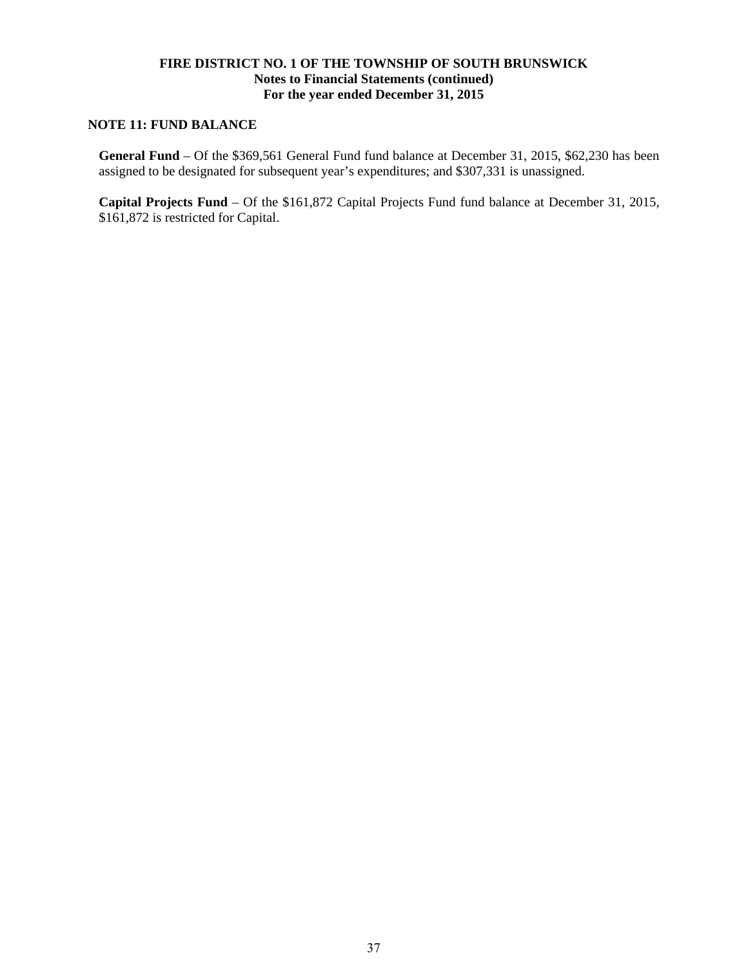#### **NOTE 11: FUND BALANCE**

**General Fund** – Of the \$369,561 General Fund fund balance at December 31, 2015, \$62,230 has been assigned to be designated for subsequent year's expenditures; and \$307,331 is unassigned.

**Capital Projects Fund** – Of the \$161,872 Capital Projects Fund fund balance at December 31, 2015, \$161,872 is restricted for Capital.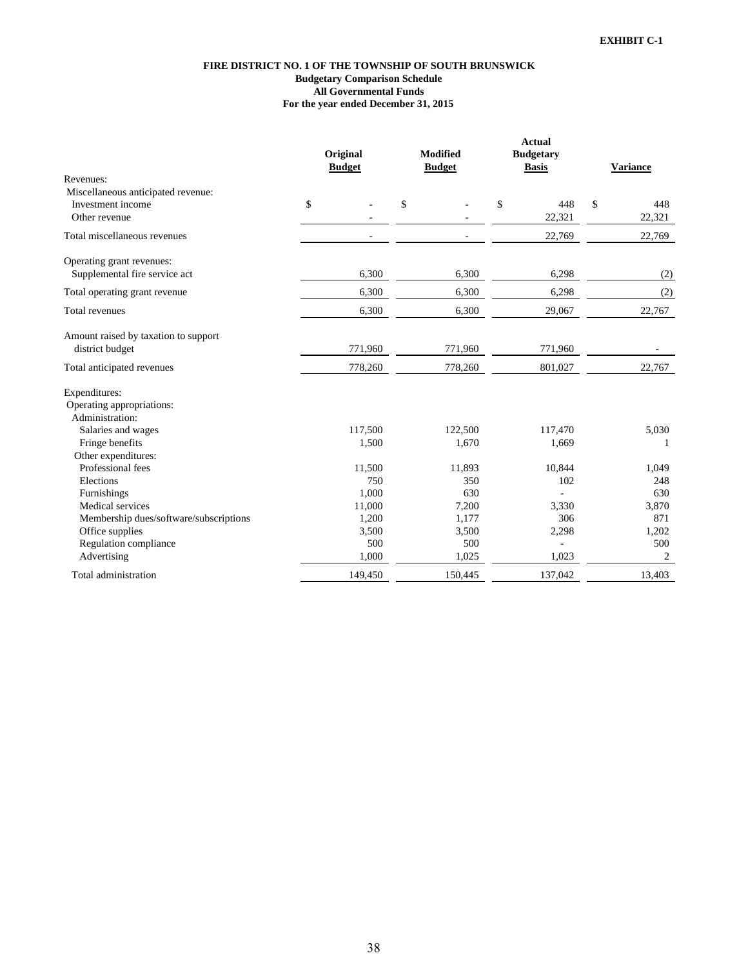#### **FIRE DISTRICT NO. 1 OF THE TOWNSHIP OF SOUTH BRUNSWICK Budgetary Comparison Schedule For the year ended December 31, 2015 All Governmental Funds**

|                                        | Original<br><b>Budget</b> | <b>Modified</b><br><b>Budget</b> |         | <b>Actual</b><br><b>Budgetary</b><br><b>Basis</b> |         | <b>Variance</b> |
|----------------------------------------|---------------------------|----------------------------------|---------|---------------------------------------------------|---------|-----------------|
| Revenues:                              |                           |                                  |         |                                                   |         |                 |
| Miscellaneous anticipated revenue:     |                           |                                  |         |                                                   |         |                 |
| Investment income                      | \$                        | \$                               |         | \$                                                | 448     | \$<br>448       |
| Other revenue                          |                           |                                  |         |                                                   | 22,321  | 22,321          |
| Total miscellaneous revenues           | $\overline{\phantom{a}}$  |                                  |         |                                                   | 22,769  | 22,769          |
| Operating grant revenues:              |                           |                                  |         |                                                   |         |                 |
| Supplemental fire service act          | 6,300                     |                                  | 6,300   |                                                   | 6,298   | (2)             |
| Total operating grant revenue          | 6,300                     |                                  | 6,300   |                                                   | 6,298   | (2)             |
| Total revenues                         | 6,300                     |                                  | 6,300   |                                                   | 29,067  | 22,767          |
| Amount raised by taxation to support   |                           |                                  |         |                                                   |         |                 |
| district budget                        | 771,960                   |                                  | 771,960 |                                                   | 771,960 |                 |
| Total anticipated revenues             | 778,260                   |                                  | 778,260 |                                                   | 801,027 | 22,767          |
| Expenditures:                          |                           |                                  |         |                                                   |         |                 |
| Operating appropriations:              |                           |                                  |         |                                                   |         |                 |
| Administration:                        |                           |                                  |         |                                                   |         |                 |
| Salaries and wages                     | 117,500                   |                                  | 122,500 |                                                   | 117,470 | 5,030           |
| Fringe benefits                        | 1,500                     |                                  | 1,670   |                                                   | 1,669   | 1               |
| Other expenditures:                    |                           |                                  |         |                                                   |         |                 |
| Professional fees                      | 11,500                    |                                  | 11,893  |                                                   | 10,844  | 1,049           |
| Elections                              | 750                       |                                  | 350     |                                                   | 102     | 248             |
| Furnishings                            | 1,000                     |                                  | 630     |                                                   |         | 630             |
| Medical services                       | 11,000                    |                                  | 7,200   |                                                   | 3,330   | 3,870           |
| Membership dues/software/subscriptions | 1,200                     |                                  | 1,177   |                                                   | 306     | 871             |
| Office supplies                        | 3,500                     |                                  | 3,500   |                                                   | 2,298   | 1,202           |
| Regulation compliance                  | 500                       |                                  | 500     |                                                   |         | 500             |
| Advertising                            | 1,000                     |                                  | 1,025   |                                                   | 1,023   | 2               |
| Total administration                   | 149,450                   |                                  | 150,445 |                                                   | 137,042 | 13,403          |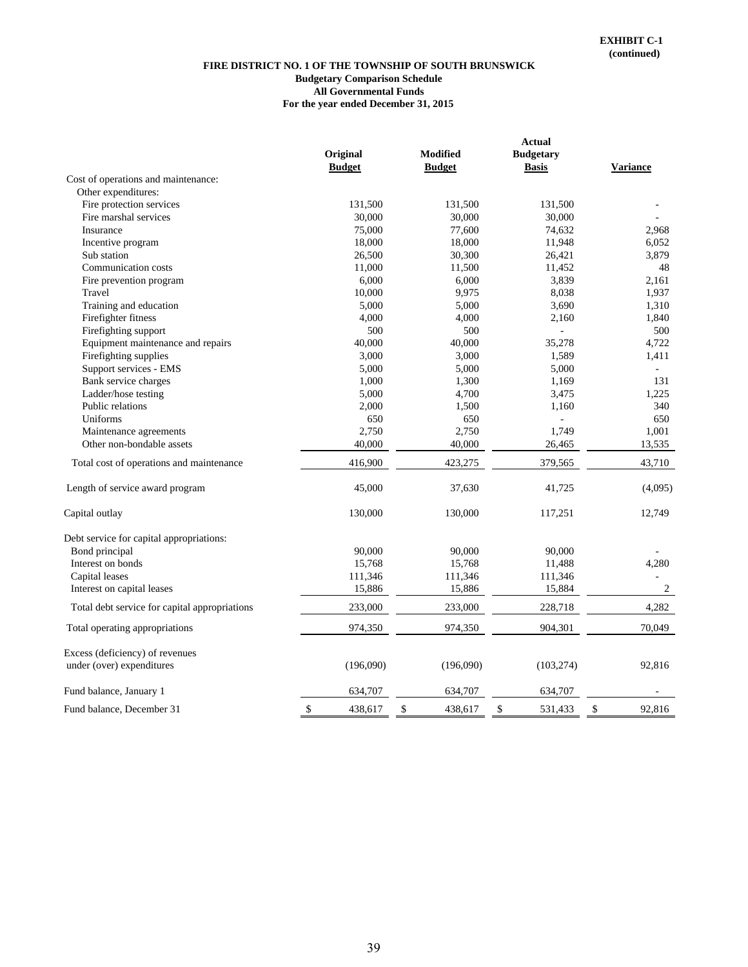#### **Budgetary Comparison Schedule For the year ended December 31, 2015 FIRE DISTRICT NO. 1 OF THE TOWNSHIP OF SOUTH BRUNSWICK All Governmental Funds**

|                                               |               |                 | <b>Actual</b>    |                 |
|-----------------------------------------------|---------------|-----------------|------------------|-----------------|
|                                               | Original      | <b>Modified</b> | <b>Budgetary</b> |                 |
|                                               | <b>Budget</b> | <b>Budget</b>   | <b>Basis</b>     | <b>Variance</b> |
| Cost of operations and maintenance:           |               |                 |                  |                 |
| Other expenditures:                           |               |                 |                  |                 |
| Fire protection services                      | 131,500       | 131,500         | 131,500          |                 |
| Fire marshal services                         | 30,000        | 30,000          | 30,000           |                 |
| Insurance                                     | 75,000        | 77,600          | 74,632           | 2.968           |
| Incentive program                             | 18,000        | 18,000          | 11,948           | 6,052           |
| Sub station                                   | 26,500        | 30,300          | 26,421           | 3,879           |
| Communication costs                           | 11,000        | 11,500          | 11,452           | 48              |
| Fire prevention program                       | 6,000         | 6,000           | 3,839            | 2.161           |
| Travel                                        | 10,000        | 9,975           | 8,038            | 1,937           |
| Training and education                        | 5,000         | 5,000           | 3,690            | 1,310           |
| Firefighter fitness                           | 4,000         | 4,000           | 2,160            | 1,840           |
| Firefighting support                          | 500           | 500             |                  | 500             |
| Equipment maintenance and repairs             | 40,000        | 40,000          | 35,278           | 4,722           |
| Firefighting supplies                         | 3,000         | 3,000           | 1,589            | 1,411           |
| Support services - EMS                        | 5,000         | 5,000           | 5,000            |                 |
| Bank service charges                          | 1,000         | 1,300           | 1,169            | 131             |
| Ladder/hose testing                           | 5,000         | 4,700           | 3,475            | 1,225           |
| Public relations                              | 2,000         | 1,500           | 1,160            | 340             |
| Uniforms                                      | 650           | 650             |                  | 650             |
| Maintenance agreements                        | 2,750         | 2,750           | 1.749            | 1,001           |
| Other non-bondable assets                     | 40,000        | 40,000          | 26,465           | 13,535          |
| Total cost of operations and maintenance      | 416,900       | 423,275         | 379,565          | 43,710          |
| Length of service award program               | 45,000        | 37,630          | 41,725           | (4,095)         |
| Capital outlay                                | 130,000       | 130,000         | 117,251          | 12,749          |
| Debt service for capital appropriations:      |               |                 |                  |                 |
| Bond principal                                | 90,000        | 90,000          | 90,000           |                 |
| Interest on bonds                             | 15,768        | 15,768          | 11,488           | 4,280           |
| Capital leases                                | 111,346       | 111,346         | 111,346          |                 |
| Interest on capital leases                    | 15,886        | 15,886          | 15,884           | $\overline{2}$  |
| Total debt service for capital appropriations | 233,000       | 233,000         | 228,718          | 4,282           |
| Total operating appropriations                | 974,350       | 974,350         | 904,301          | 70,049          |
|                                               |               |                 |                  |                 |
| Excess (deficiency) of revenues               |               |                 |                  |                 |
| under (over) expenditures                     | (196,090)     | (196,090)       | (103, 274)       | 92,816          |
| Fund balance, January 1                       | 634,707       | 634,707         | 634,707          |                 |
| Fund balance, December 31                     | \$<br>438,617 | \$<br>438,617   | \$<br>531,433    | \$<br>92,816    |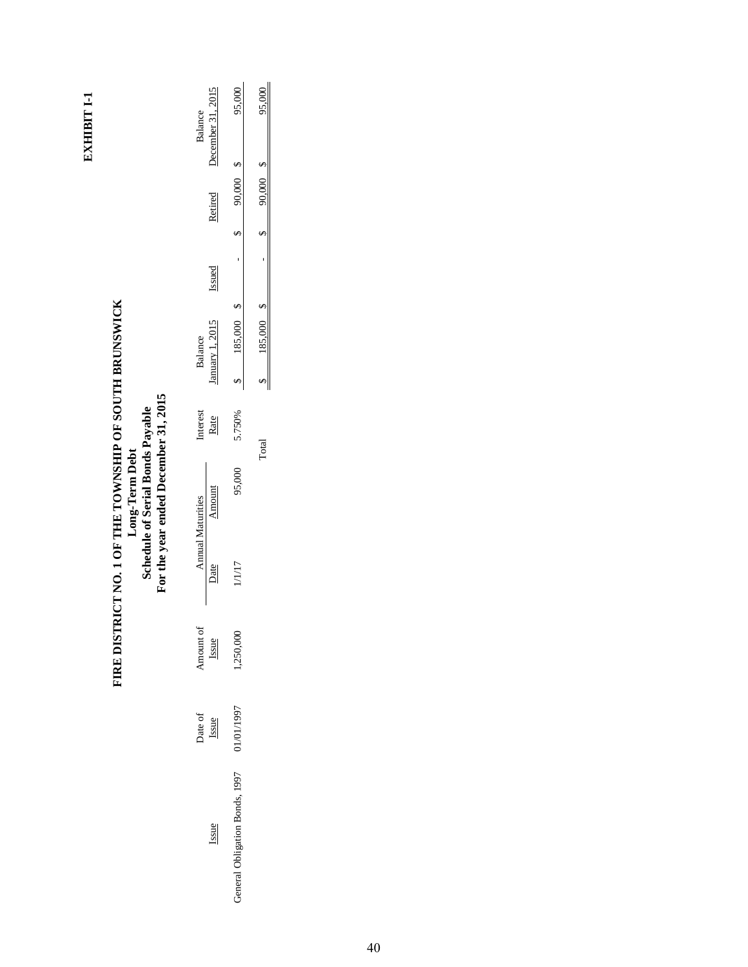| Date of                                   | Amount of         | For the year ended December 31, 2015<br><b>Annual Maturities</b> | Interest | Balance             |        |                           | Balance           |
|-------------------------------------------|-------------------|------------------------------------------------------------------|----------|---------------------|--------|---------------------------|-------------------|
| Issue                                     | Date<br>Issue     | Amount                                                           | Rate     | January 1, 2015     | Issued | Retired                   | December 31, 2015 |
| General Obligation Bonds, 1997 01/01/1997 | 1/17<br>1,250,000 | 95,000                                                           | 5.750%   | $$185,000 \quad $$$ |        | $\frac{4}{3}$ 5 900,000 + | 95,000            |

Total 185,000 \$ - \$ 90,000 \$ 95,000 \$

 $\frac{$}{8}$  185,000 \$

Total

 $\leftrightarrow$ 

95,000

90,000 \$

**EXHIBIT I-1**

EXHIBIT I-1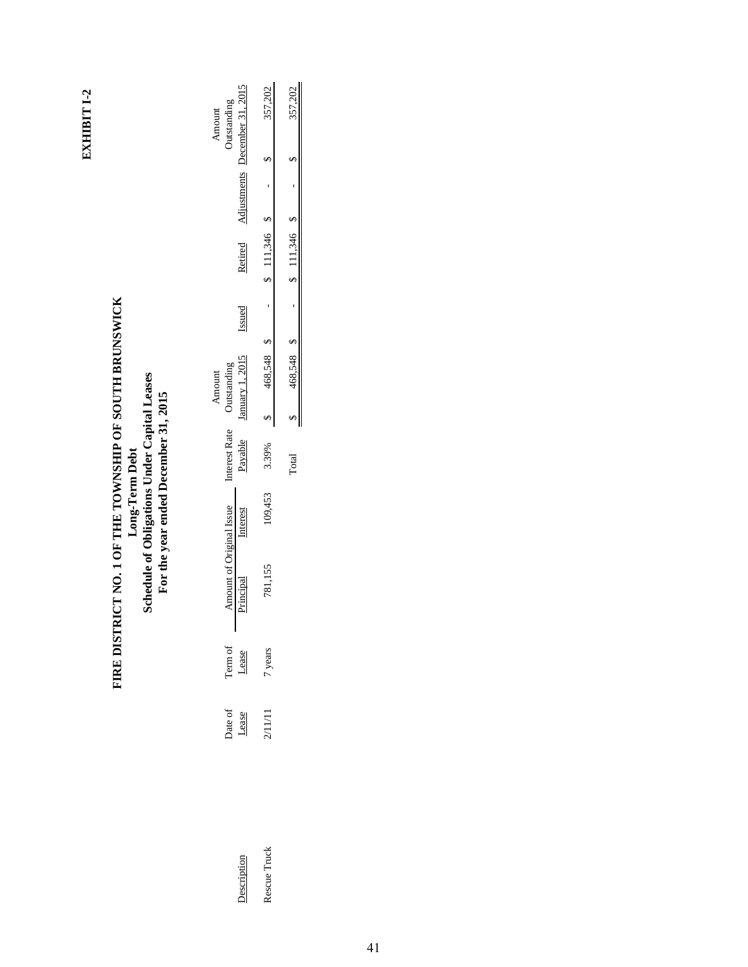# EXHIBIT I-2 **EXHIBIT I-2**

# FIRE DISTRICT NO. 1 OF THE TOWNSHIP OF SOUTH BRUNSWICK<br>Long-Term Debt<br>Schedule of Obligations Under Capital Leases<br>For the year ended December 31, 2015 **FIRE DISTRICT NO. 1 OF THE TOWNSHIP OF SOUTH BRUNSWICK Schedule of Obligations Under Capital Leases For the year ended December 31, 2015 Long-Term Debt**

|             |                  |                         |                         |         |             | Amount        |        |         |            | Amount          |  |
|-------------|------------------|-------------------------|-------------------------|---------|-------------|---------------|--------|---------|------------|-----------------|--|
|             |                  |                         | mount of Original Issue |         | nterest Rat | Outstanding   |        |         |            | utstanding      |  |
| escription  | Date of<br>Lease | Term of<br><u>Lease</u> |                         | nterest | Payable     | anuary 1, 201 | Issued | Retired | djustments | ecember 31, 201 |  |
| escue Trucl | 2/11/11          | 7 years                 | 781.15                  | 109,453 | 3.39%       | 468,548       |        | 111,346 |            | 357,202         |  |
|             |                  |                         |                         |         | Total       | 468,548       |        | 111,346 |            | 357,202         |  |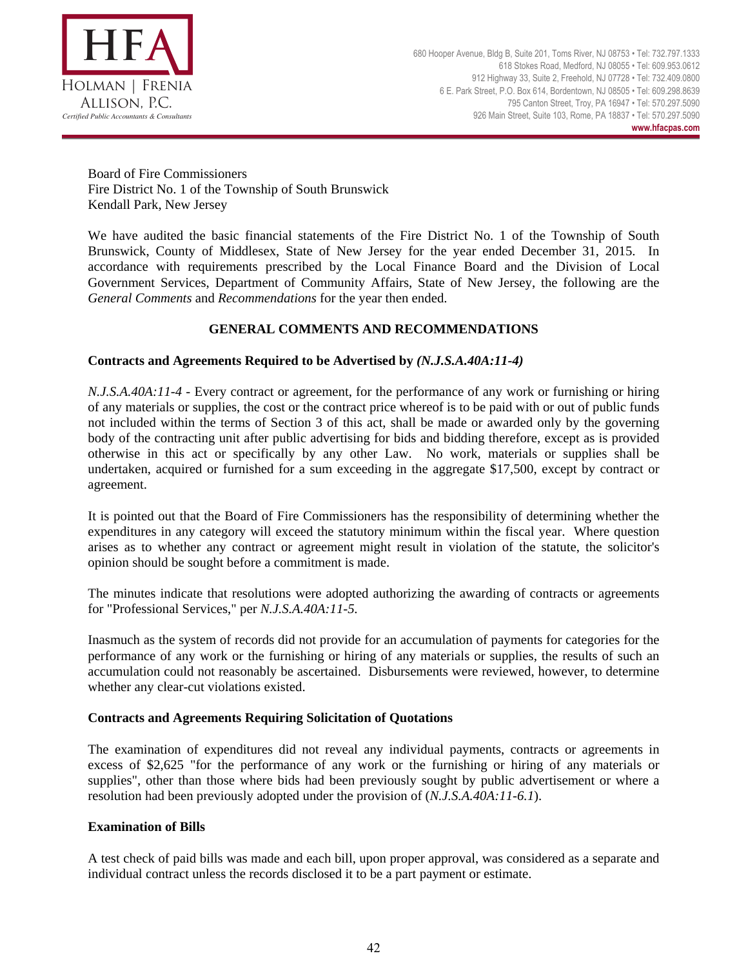

Board of Fire Commissioners Fire District No. 1 of the Township of South Brunswick Kendall Park, New Jersey

We have audited the basic financial statements of the Fire District No. 1 of the Township of South Brunswick, County of Middlesex, State of New Jersey for the year ended December 31, 2015. In accordance with requirements prescribed by the Local Finance Board and the Division of Local Government Services, Department of Community Affairs, State of New Jersey, the following are the *General Comments* and *Recommendations* for the year then ended.

# **GENERAL COMMENTS AND RECOMMENDATIONS**

#### **Contracts and Agreements Required to be Advertised by** *(N.J.S.A.40A:11-4)*

*N.J.S.A.40A:11-4* - Every contract or agreement, for the performance of any work or furnishing or hiring of any materials or supplies, the cost or the contract price whereof is to be paid with or out of public funds not included within the terms of Section 3 of this act, shall be made or awarded only by the governing body of the contracting unit after public advertising for bids and bidding therefore, except as is provided otherwise in this act or specifically by any other Law. No work, materials or supplies shall be undertaken, acquired or furnished for a sum exceeding in the aggregate \$17,500, except by contract or agreement.

It is pointed out that the Board of Fire Commissioners has the responsibility of determining whether the expenditures in any category will exceed the statutory minimum within the fiscal year. Where question arises as to whether any contract or agreement might result in violation of the statute, the solicitor's opinion should be sought before a commitment is made.

The minutes indicate that resolutions were adopted authorizing the awarding of contracts or agreements for "Professional Services," per *N.J.S.A.40A:11-5.*

Inasmuch as the system of records did not provide for an accumulation of payments for categories for the performance of any work or the furnishing or hiring of any materials or supplies, the results of such an accumulation could not reasonably be ascertained. Disbursements were reviewed, however, to determine whether any clear-cut violations existed.

# **Contracts and Agreements Requiring Solicitation of Quotations**

The examination of expenditures did not reveal any individual payments, contracts or agreements in excess of \$2,625 "for the performance of any work or the furnishing or hiring of any materials or supplies", other than those where bids had been previously sought by public advertisement or where a resolution had been previously adopted under the provision of (*N.J.S.A.40A:11-6.1*).

#### **Examination of Bills**

A test check of paid bills was made and each bill, upon proper approval, was considered as a separate and individual contract unless the records disclosed it to be a part payment or estimate.